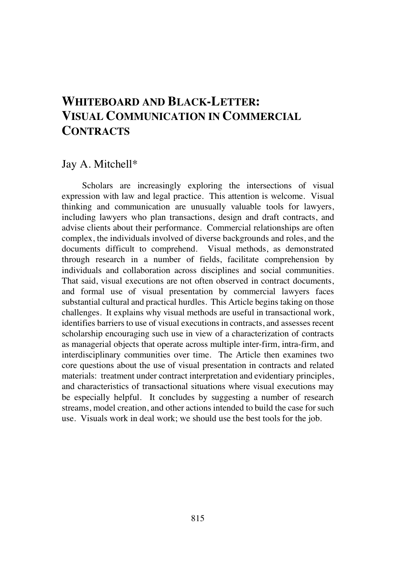# **WHITEBOARD AND BLACK-LETTER: VISUAL COMMUNICATION IN COMMERCIAL CONTRACTS**

# Jay A. Mitchell\*

Scholars are increasingly exploring the intersections of visual expression with law and legal practice. This attention is welcome. Visual thinking and communication are unusually valuable tools for lawyers, including lawyers who plan transactions, design and draft contracts, and advise clients about their performance. Commercial relationships are often complex, the individuals involved of diverse backgrounds and roles, and the documents difficult to comprehend. Visual methods, as demonstrated through research in a number of fields, facilitate comprehension by individuals and collaboration across disciplines and social communities. That said, visual executions are not often observed in contract documents, and formal use of visual presentation by commercial lawyers faces substantial cultural and practical hurdles. This Article begins taking on those challenges. It explains why visual methods are useful in transactional work, identifies barriers to use of visual executionsin contracts, and assesses recent scholarship encouraging such use in view of a characterization of contracts as managerial objects that operate across multiple inter-firm, intra-firm, and interdisciplinary communities over time. The Article then examines two core questions about the use of visual presentation in contracts and related materials: treatment under contract interpretation and evidentiary principles, and characteristics of transactional situations where visual executions may be especially helpful. It concludes by suggesting a number of research streams, model creation, and other actions intended to build the case for such use. Visuals work in deal work; we should use the best tools for the job.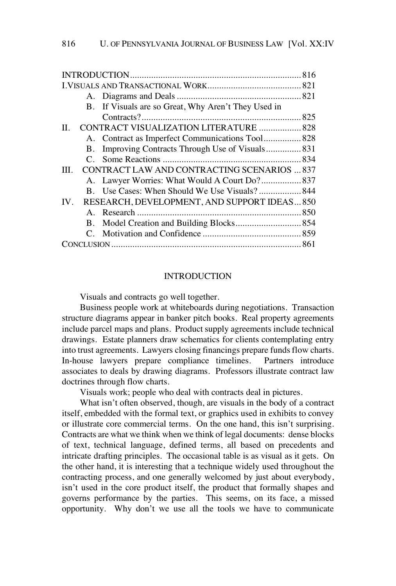| B. If Visuals are so Great, Why Aren't They Used in        |  |
|------------------------------------------------------------|--|
|                                                            |  |
| CONTRACT VISUALIZATION LITERATURE  828<br>Н.               |  |
| A. Contract as Imperfect Communications Tool 828           |  |
| Improving Contracts Through Use of Visuals 831<br>В.       |  |
|                                                            |  |
| <b>CONTRACT LAW AND CONTRACTING SCENARIOS  837</b><br>III. |  |
| A. Lawyer Worries: What Would A Court Do? 837              |  |
|                                                            |  |
| RESEARCH, DEVELOPMENT, AND SUPPORT IDEAS 850<br>IV.        |  |
|                                                            |  |
|                                                            |  |
|                                                            |  |
|                                                            |  |

# **INTRODUCTION**

Visuals and contracts go well together.

Business people work at whiteboards during negotiations. Transaction structure diagrams appear in banker pitch books. Real property agreements include parcel maps and plans. Product supply agreements include technical drawings. Estate planners draw schematics for clients contemplating entry into trust agreements. Lawyers closing financings prepare funds flow charts. In-house lawyers prepare compliance timelines. Partners introduce associates to deals by drawing diagrams. Professors illustrate contract law doctrines through flow charts.

Visuals work; people who deal with contracts deal in pictures.

What isn't often observed, though, are visuals in the body of a contract itself, embedded with the formal text, or graphics used in exhibits to convey or illustrate core commercial terms. On the one hand, this isn't surprising. Contracts are what we think when we think of legal documents: dense blocks of text, technical language, defined terms, all based on precedents and intricate drafting principles. The occasional table is as visual as it gets. On the other hand, it is interesting that a technique widely used throughout the contracting process, and one generally welcomed by just about everybody, isn't used in the core product itself, the product that formally shapes and governs performance by the parties. This seems, on its face, a missed opportunity. Why don't we use all the tools we have to communicate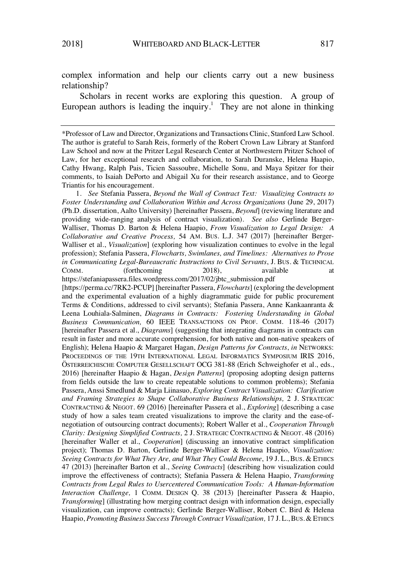complex information and help our clients carry out a new business relationship?

Scholars in recent works are exploring this question. A group of European authors is leading the inquiry.<sup>1</sup> They are not alone in thinking

1. *See* Stefania Passera, *Beyond the Wall of Contract Text: Visualizing Contracts to Foster Understanding and Collaboration Within and Across Organizations* (June 29, 2017) (Ph.D. dissertation, Aalto University) [hereinafter Passera, *Beyond*] (reviewing literature and providing wide-ranging analysis of contract visualization). *See also* Gerlinde Berger-Walliser, Thomas D. Barton & Helena Haapio, *From Visualization to Legal Design: A Collaborative and Creative Process,* 54 AM. BUS. L.J. 347 (2017) [hereinafter Berger-Walliser et al., *Visualization*] (exploring how visualization continues to evolve in the legal profession); Stefania Passera, *Flowcharts, Swimlanes, and Timelines: Alternatives to Prose in Communicating Legal-Bureaucratic Instructions to Civil Servants*, J. BUS. & TECHNICAL COMM. (forthcoming 2018), available at https://stefaniapassera.files.wordpress.com/2017/02/jbtc\_submission.pdf

[https://perma.cc/7RK2-PCUP] [hereinafter Passera, *Flowcharts*] (exploring the development and the experimental evaluation of a highly diagrammatic guide for public procurement Terms & Conditions, addressed to civil servants); Stefania Passera, Anne Kankaanranta & Leena Louhiala-Salminen, *Diagrams in Contracts: Fostering Understanding in Global Business Communication,* 60 IEEE TRANSACTIONS ON PROF. COMM. 118-46 (2017) [hereinafter Passera et al., *Diagrams*] (suggesting that integrating diagrams in contracts can result in faster and more accurate comprehension, for both native and non-native speakers of English); Helena Haapio & Margaret Hagan, *Design Patterns for Contracts*, *in* NETWORKS: PROCEEDINGS OF THE 19TH INTERNATIONAL LEGAL INFORMATICS SYMPOSIUM IRIS 2016, ÖSTERREICHISCHE COMPUTER GESELLSCHAFT OCG 381-88 (Erich Schweighofer et al., eds., 2016) [hereinafter Haapio & Hagan, *Design Patterns*] (proposing adopting design patterns from fields outside the law to create repeatable solutions to common problems); Stefania Passera, Anssi Smedlund & Marja Liinasuo, *Exploring Contract Visualization: Clarification and Framing Strategies to Shape Collaborative Business Relationships,* 2 J. STRATEGIC CONTRACTING & NEGOT. 69 (2016) [hereinafter Passera et al., *Exploring*] (describing a case study of how a sales team created visualizations to improve the clarity and the ease-ofnegotiation of outsourcing contract documents); Robert Waller et al., *Cooperation Through Clarity: Designing Simplified Contracts,* 2 J. STRATEGIC CONTRACTING & NEGOT. 48 (2016) [hereinafter Waller et al., *Cooperation*] (discussing an innovative contract simplification project); Thomas D. Barton, Gerlinde Berger-Walliser & Helena Haapio, *Visualization: Seeing Contracts for What They Are, and What They Could Become*, 19 J. L., BUS. & ETHICS 47 (2013) [hereinafter Barton et al., *Seeing Contracts*] (describing how visualization could improve the effectiveness of contracts); Stefania Passera & Helena Haapio, *Transforming Contracts from Legal Rules to Usercentered Communication Tools: A Human-Information Interaction Challenge,* 1 COMM. DESIGN Q. 38 (2013) [hereinafter Passera & Haapio, *Transforming*] (illustrating how merging contract design with information design, especially visualization, can improve contracts); Gerlinde Berger-Walliser, Robert C. Bird & Helena Haapio, *Promoting Business Success Through Contract Visualization,* 17 J. L.,BUS.& ETHICS

<sup>\*</sup>Professor of Law and Director, Organizations and Transactions Clinic, Stanford Law School. The author is grateful to Sarah Reis, formerly of the Robert Crown Law Library at Stanford Law School and now at the Pritzer Legal Research Center at Northwestern Pritzer School of Law, for her exceptional research and collaboration, to Sarah Duranske, Helena Haapio, Cathy Hwang, Ralph Pais, Ticien Sassoubre, Michelle Sonu, and Maya Spitzer for their comments, to Isaiah DePorto and Abigail Xu for their research assistance, and to George Triantis for his encouragement.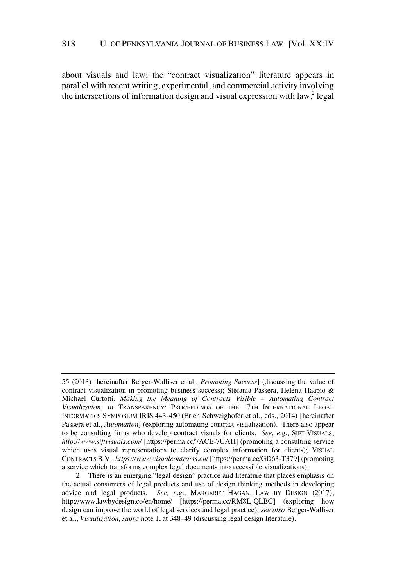about visuals and law; the "contract visualization" literature appears in parallel with recent writing, experimental, and commercial activity involving the intersections of information design and visual expression with law,<sup>2</sup> legal

<sup>55</sup> (2013) [hereinafter Berger-Walliser et al., *Promoting Success*] (discussing the value of contract visualization in promoting business success); Stefania Passera, Helena Haapio & Michael Curtotti, *Making the Meaning of Contracts Visible – Automating Contract Visualization*, *in* TRANSPARENCY: PROCEEDINGS OF THE 17TH INTERNATIONAL LEGAL INFORMATICS SYMPOSIUM IRIS 443-450 (Erich Schweighofer et al., eds., 2014) [hereinafter Passera et al., *Automation*] (exploring automating contract visualization). There also appear to be consulting firms who develop contract visuals for clients. *See, e.g.*, SIFT VISUALS, *http://www.siftvisuals.com/* [https://perma.cc/7ACE-7UAH] (promoting a consulting service which uses visual representations to clarify complex information for clients); VISUAL CONTRACTSB.V., *https://www.visualcontracts.eu/* [https://perma.cc/GD63-T379] (promoting a service which transforms complex legal documents into accessible visualizations).

<sup>2.</sup> There is an emerging "legal design" practice and literature that places emphasis on the actual consumers of legal products and use of design thinking methods in developing advice and legal products. *See, e.g.*, MARGARET HAGAN, LAW BY DESIGN (2017), http://www.lawbydesign.co/en/home/ [https://perma.cc/RM8L-QLBC] (exploring how design can improve the world of legal services and legal practice); *see also* Berger-Walliser et al., *Visualization, supra* note 1, at 348–49 (discussing legal design literature).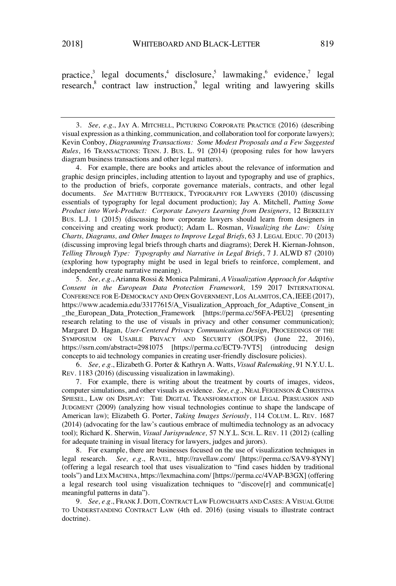practice,<sup>3</sup> legal documents,<sup>4</sup> disclosure,<sup>5</sup> lawmaking,<sup>6</sup> evidence,<sup>7</sup> legal research,<sup>8</sup> contract law instruction,<sup>9</sup> legal writing and lawyering skills

3. *See, e.g.*, JAY A. MITCHELL, PICTURING CORPORATE PRACTICE (2016) (describing visual expression as a thinking, communication, and collaboration tool for corporate lawyers); Kevin Conboy, *Diagramming Transactions: Some Modest Proposals and a Few Suggested Rules*, 16 TRANSACTIONS: TENN. J. BUS. L. 91 (2014) (proposing rules for how lawyers diagram business transactions and other legal matters).

4. For example, there are books and articles about the relevance of information and graphic design principles, including attention to layout and typography and use of graphics, to the production of briefs, corporate governance materials, contracts, and other legal documents. *See* MATTHEW BUTTERICK, TYPOGRAPHY FOR LAWYERS (2010) (discussing essentials of typography for legal document production); Jay A. Mitchell, *Putting Some Product into Work-Product: Corporate Lawyers Learning from Designers*, 12 BERKELEY BUS. L.J. 1 (2015) (discussing how corporate lawyers should learn from designers in conceiving and creating work product); Adam L. Rosman, *Visualizing the Law: Using Charts, Diagrams, and Other Images to Improve Legal Briefs*, 63 J. LEGAL EDUC. 70 (2013) (discussing improving legal briefs through charts and diagrams); Derek H. Kiernan-Johnson, *Telling Through Type: Typography and Narrative in Legal Briefs*, 7 J. ALWD 87 (2010) (exploring how typography might be used in legal briefs to reinforce, complement, and independently create narrative meaning).

5. *See, e.g.*, Arianna Rossi & Monica Palmirani, *A Visualization Approach for Adaptive Consent in the European Data Protection Framework,* 159 2017 INTERNATIONAL CONFERENCE FOR E-DEMOCRACY AND OPEN GOVERNMENT, LOS ALAMITOS, CA, IEEE (2017), https://www.academia.edu/33177615/A\_Visualization\_Approach\_for\_Adaptive\_Consent\_in \_the\_European\_Data\_Protection\_Framework [https://perma.cc/56FA-PEU2] (presenting research relating to the use of visuals in privacy and other consumer communication); Margaret D. Hagan, *User-Centered Privacy Communication Design*, PROCEEDINGS OF THE SYMPOSIUM ON USABLE PRIVACY AND SECURITY (SOUPS) (June 22, 2016), https://ssrn.com/abstract=2981075 [https://perma.cc/ECT9-7VT5] (introducing design concepts to aid technology companies in creating user-friendly disclosure policies).

6. *See, e.g.*, Elizabeth G. Porter & Kathryn A. Watts, *Visual Rulemaking*, 91 N.Y.U. L. REV. 1183 (2016) (discussing visualization in lawmaking).

7. For example, there is writing about the treatment by courts of images, videos, computer simulations, and other visuals as evidence. *See, e.g.*, NEAL FEIGENSON & CHRISTINA SPIESEL, LAW ON DISPLAY: THE DIGITAL TRANSFORMATION OF LEGAL PERSUASION AND JUDGMENT (2009) (analyzing how visual technologies continue to shape the landscape of American law); Elizabeth G. Porter, *Taking Images Seriously*, 114 COLUM. L. REV. 1687 (2014) (advocating for the law's cautious embrace of multimedia technology as an advocacy tool); Richard K. Sherwin, *Visual Jurisprudence,* 57 N.Y.L. SCH. L. REV. 11 (2012) (calling for adequate training in visual literacy for lawyers, judges and jurors).

8. For example, there are businesses focused on the use of visualization techniques in legal research. *See, e.g.*, RAVEL*,* http://ravellaw.com/ [https://perma.cc/SAV9-8YNY] (offering a legal research tool that uses visualization to "find cases hidden by traditional tools") and LEXMACHINA, https://lexmachina.com/ [https://perma.cc/4VAP-B3GX] (offering a legal research tool using visualization techniques to "discove[r] and communicat[e] meaningful patterns in data").

9. *See, e.g.*, FRANK J. DOTI, CONTRACT LAW FLOWCHARTS AND CASES: A VISUAL GUIDE TO UNDERSTANDING CONTRACT LAW (4th ed. 2016) (using visuals to illustrate contract doctrine).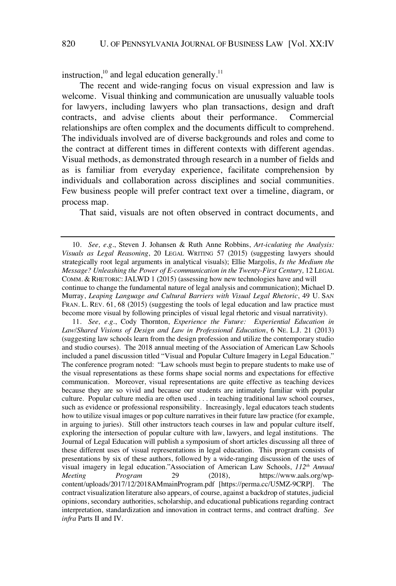instruction,<sup>10</sup> and legal education generally.<sup>11</sup>

The recent and wide-ranging focus on visual expression and law is welcome. Visual thinking and communication are unusually valuable tools for lawyers, including lawyers who plan transactions, design and draft contracts, and advise clients about their performance. Commercial relationships are often complex and the documents difficult to comprehend. The individuals involved are of diverse backgrounds and roles and come to the contract at different times in different contexts with different agendas. Visual methods, as demonstrated through research in a number of fields and as is familiar from everyday experience, facilitate comprehension by individuals and collaboration across disciplines and social communities. Few business people will prefer contract text over a timeline, diagram, or process map.

That said, visuals are not often observed in contract documents, and

11. *See, e.g.*, Cody Thornton, *Experience the Future: Experiential Education in Law/Shared Visions of Design and Law in Professional Education*, 6 NE. L.J. 21 (2013) (suggesting law schools learn from the design profession and utilize the contemporary studio and studio courses). The 2018 annual meeting of the Association of American Law Schools included a panel discussion titled "Visual and Popular Culture Imagery in Legal Education." The conference program noted: "Law schools must begin to prepare students to make use of the visual representations as these forms shape social norms and expectations for effective communication. Moreover, visual representations are quite effective as teaching devices because they are so vivid and because our students are intimately familiar with popular culture. Popular culture media are often used . . . in teaching traditional law school courses, such as evidence or professional responsibility. Increasingly, legal educators teach students how to utilize visual images or pop culture narratives in their future law practice (for example, in arguing to juries). Still other instructors teach courses in law and popular culture itself, exploring the intersection of popular culture with law, lawyers, and legal institutions. The Journal of Legal Education will publish a symposium of short articles discussing all three of these different uses of visual representations in legal education. This program consists of presentations by six of these authors, followed by a wide-ranging discussion of the uses of visual imagery in legal education."Association of American Law Schools, *112th Annual Meeting Program* 29 (2018), https://www.aals.org/wpcontent/uploads/2017/12/2018AMmainProgram.pdf [https://perma.cc/U5MZ-9CRP]. The contract visualization literature also appears, of course, against a backdrop of statutes, judicial opinions, secondary authorities, scholarship, and educational publications regarding contract interpretation, standardization and innovation in contract terms, and contract drafting. *See infra* Parts II and IV.

<sup>10.</sup> *See, e.g.*, Steven J. Johansen & Ruth Anne Robbins, *Art-iculating the Analysis: Visuals as Legal Reasoning*, 20 LEGAL WRITING 57 (2015) (suggesting lawyers should strategically root legal arguments in analytical visuals); Ellie Margolis, *Is the Medium the Message? Unleashing the Power of E-communication in the Twenty-First Century,* 12 LEGAL COMM. & RHETORIC: JALWD 1 (2015) (assessing how new technologies have and will

continue to change the fundamental nature of legal analysis and communication); Michael D. Murray, *Leaping Language and Cultural Barriers with Visual Legal Rhetoric*, 49 U. SAN FRAN. L. REV. 61, 68 (2015) (suggesting the tools of legal education and law practice must become more visual by following principles of visual legal rhetoric and visual narrativity).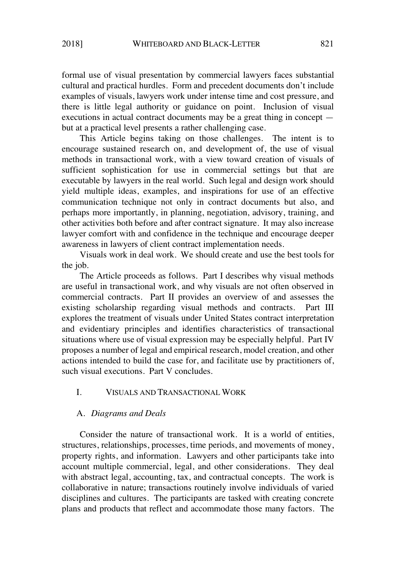formal use of visual presentation by commercial lawyers faces substantial cultural and practical hurdles. Form and precedent documents don't include examples of visuals, lawyers work under intense time and cost pressure, and there is little legal authority or guidance on point. Inclusion of visual executions in actual contract documents may be a great thing in concept but at a practical level presents a rather challenging case.

This Article begins taking on those challenges. The intent is to encourage sustained research on, and development of, the use of visual methods in transactional work, with a view toward creation of visuals of sufficient sophistication for use in commercial settings but that are executable by lawyers in the real world. Such legal and design work should yield multiple ideas, examples, and inspirations for use of an effective communication technique not only in contract documents but also, and perhaps more importantly, in planning, negotiation, advisory, training, and other activities both before and after contract signature. It may also increase lawyer comfort with and confidence in the technique and encourage deeper awareness in lawyers of client contract implementation needs.

Visuals work in deal work. We should create and use the best tools for the job.

The Article proceeds as follows. Part I describes why visual methods are useful in transactional work, and why visuals are not often observed in commercial contracts. Part II provides an overview of and assesses the existing scholarship regarding visual methods and contracts. Part III explores the treatment of visuals under United States contract interpretation and evidentiary principles and identifies characteristics of transactional situations where use of visual expression may be especially helpful. Part IV proposes a number of legal and empirical research, model creation, and other actions intended to build the case for, and facilitate use by practitioners of, such visual executions. Part V concludes.

# I. VISUALS AND TRANSACTIONAL WORK

#### A. *Diagrams and Deals*

Consider the nature of transactional work. It is a world of entities, structures, relationships, processes, time periods, and movements of money, property rights, and information. Lawyers and other participants take into account multiple commercial, legal, and other considerations. They deal with abstract legal, accounting, tax, and contractual concepts. The work is collaborative in nature; transactions routinely involve individuals of varied disciplines and cultures. The participants are tasked with creating concrete plans and products that reflect and accommodate those many factors. The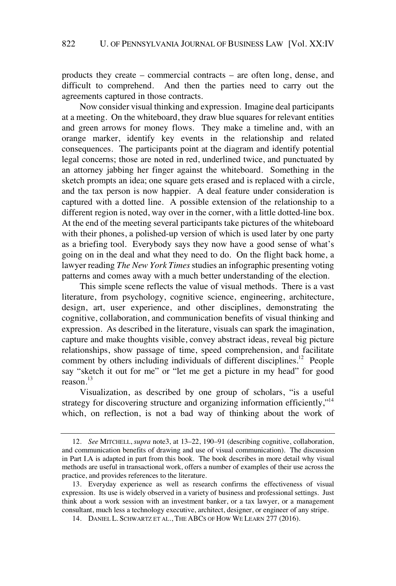products they create – commercial contracts – are often long, dense, and difficult to comprehend. And then the parties need to carry out the agreements captured in those contracts.

Now consider visual thinking and expression. Imagine deal participants at a meeting. On the whiteboard, they draw blue squares for relevant entities and green arrows for money flows. They make a timeline and, with an orange marker, identify key events in the relationship and related consequences. The participants point at the diagram and identify potential legal concerns; those are noted in red, underlined twice, and punctuated by an attorney jabbing her finger against the whiteboard. Something in the sketch prompts an idea; one square gets erased and is replaced with a circle, and the tax person is now happier. A deal feature under consideration is captured with a dotted line. A possible extension of the relationship to a different region is noted, way over in the corner, with a little dotted-line box. At the end of the meeting several participants take pictures of the whiteboard with their phones, a polished-up version of which is used later by one party as a briefing tool. Everybody says they now have a good sense of what's going on in the deal and what they need to do. On the flight back home, a lawyer reading *The New York Times* studies an infographic presenting voting patterns and comes away with a much better understanding of the election.

This simple scene reflects the value of visual methods. There is a vast literature, from psychology, cognitive science, engineering, architecture, design, art, user experience, and other disciplines, demonstrating the cognitive, collaboration, and communication benefits of visual thinking and expression. As described in the literature, visuals can spark the imagination, capture and make thoughts visible, convey abstract ideas, reveal big picture relationships, show passage of time, speed comprehension, and facilitate comment by others including individuals of different disciplines.<sup>12</sup> People say "sketch it out for me" or "let me get a picture in my head" for good reason.<sup>13</sup>

Visualization, as described by one group of scholars, "is a useful strategy for discovering structure and organizing information efficiently,"<sup>14</sup> which, on reflection, is not a bad way of thinking about the work of

<sup>12.</sup> *See* MITCHELL, *supra* note3, at 13–22, 190–91 (describing cognitive, collaboration, and communication benefits of drawing and use of visual communication). The discussion in Part I.A is adapted in part from this book. The book describes in more detail why visual methods are useful in transactional work, offers a number of examples of their use across the practice, and provides references to the literature.

<sup>13.</sup> Everyday experience as well as research confirms the effectiveness of visual expression. Its use is widely observed in a variety of business and professional settings. Just think about a work session with an investment banker, or a tax lawyer, or a management consultant, much less a technology executive, architect, designer, or engineer of any stripe.

<sup>14.</sup> DANIEL L. SCHWARTZ ET AL., THE ABCS OF HOW WE LEARN 277 (2016).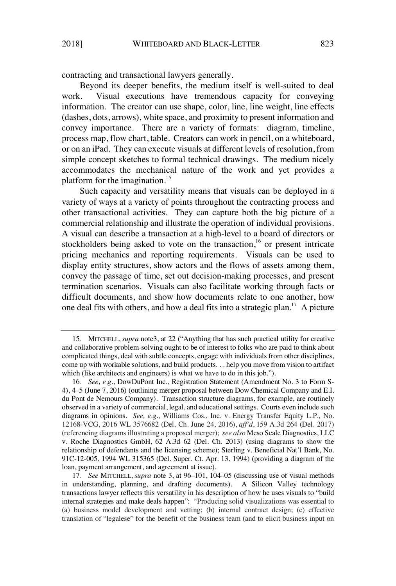contracting and transactional lawyers generally.

Beyond its deeper benefits, the medium itself is well-suited to deal work. Visual executions have tremendous capacity for conveying information. The creator can use shape, color, line, line weight, line effects (dashes, dots, arrows), white space, and proximity to present information and convey importance. There are a variety of formats: diagram, timeline, process map, flow chart, table. Creators can work in pencil, on a whiteboard, or on an iPad. They can execute visuals at different levels of resolution, from simple concept sketches to formal technical drawings. The medium nicely accommodates the mechanical nature of the work and yet provides a platform for the imagination.<sup>15</sup>

Such capacity and versatility means that visuals can be deployed in a variety of ways at a variety of points throughout the contracting process and other transactional activities. They can capture both the big picture of a commercial relationship and illustrate the operation of individual provisions. A visual can describe a transaction at a high-level to a board of directors or stockholders being asked to vote on the transaction,<sup>16</sup> or present intricate pricing mechanics and reporting requirements. Visuals can be used to display entity structures, show actors and the flows of assets among them, convey the passage of time, set out decision-making processes, and present termination scenarios. Visuals can also facilitate working through facts or difficult documents, and show how documents relate to one another, how one deal fits with others, and how a deal fits into a strategic plan.<sup>17</sup> A picture

<sup>15.</sup> MITCHELL, *supra* note3, at 22 ("Anything that has such practical utility for creative and collaborative problem-solving ought to be of interest to folks who are paid to think about complicated things, deal with subtle concepts, engage with individuals from other disciplines, come up with workable solutions, and build products. . . help you move from vision to artifact which (like architects and engineers) is what we have to do in this job.").

<sup>16.</sup> *See, e.g.*, DowDuPont Inc., Registration Statement (Amendment No. 3 to Form S-4), 4–5 (June 7, 2016) (outlining merger proposal between Dow Chemical Company and E.I. du Pont de Nemours Company). Transaction structure diagrams, for example, are routinely observed in a variety of commercial, legal, and educational settings. Courts even include such diagrams in opinions. *See, e.g.*, Williams Cos., Inc. v. Energy Transfer Equity L.P*.,* No. 12168-VCG, 2016 WL 3576682 (Del. Ch. June 24, 2016), *aff'd*, 159 A.3d 264 (Del. 2017) (referencing diagrams illustrating a proposed merger); *see also* Meso Scale Diagnostics, LLC v. Roche Diagnostics GmbH, 62 A.3d 62 (Del. Ch. 2013) (using diagrams to show the relationship of defendants and the licensing scheme); Sterling v. Beneficial Nat'l Bank, No. 91C-12-005, 1994 WL 315365 (Del. Super. Ct. Apr. 13, 1994) (providing a diagram of the loan, payment arrangement, and agreement at issue).

<sup>17.</sup> *See* MITCHELL, *supra* note 3, at 96–101, 104–05 (discussing use of visual methods in understanding, planning, and drafting documents). A Silicon Valley technology transactions lawyer reflects this versatility in his description of how he uses visuals to "build internal strategies and make deals happen": "Producing solid visualizations was essential to (a) business model development and vetting; (b) internal contract design; (c) effective translation of "legalese" for the benefit of the business team (and to elicit business input on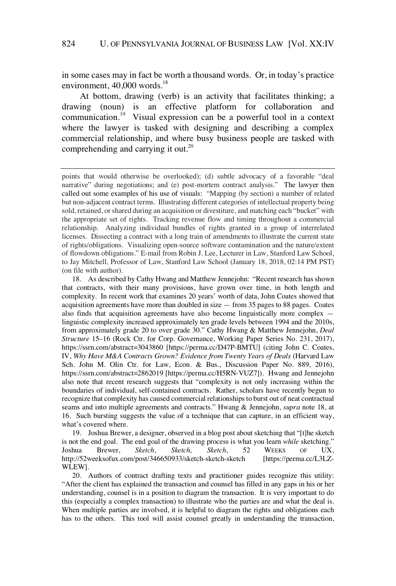in some cases may in fact be worth a thousand words. Or, in today's practice environment,  $40,000$  words.<sup>18</sup>

At bottom, drawing (verb) is an activity that facilitates thinking; a drawing (noun) is an effective platform for collaboration and communication.<sup>19</sup> Visual expression can be a powerful tool in a context where the lawyer is tasked with designing and describing a complex commercial relationship, and where busy business people are tasked with comprehending and carrying it out.<sup>20</sup>

19. Joshua Brewer, a designer, observed in a blog post about sketching that "[t]he sketch is not the end goal. The end goal of the drawing process is what you learn *while* sketching." Joshua Brewer, *Sketch, Sketch, Sketch*, 52 WEEKS OF UX, http://52weeksofux.com/post/346650933/sketch-sketch-sketch [https://perma.cc/L3LZ-WLEW].

20. Authors of contract drafting texts and practitioner guides recognize this utility: "After the client has explained the transaction and counsel has filled in any gaps in his or her understanding, counsel is in a position to diagram the transaction. It is very important to do this (especially a complex transaction) to illustrate who the parties are and what the deal is. When multiple parties are involved, it is helpful to diagram the rights and obligations each has to the others. This tool will assist counsel greatly in understanding the transaction,

points that would otherwise be overlooked); (d) subtle advocacy of a favorable "deal narrative" during negotiations; and (e) post-mortem contract analysis." The lawyer then called out some examples of his use of visuals: "Mapping (by section) a number of related but non-adjacent contract terms. Illustrating different categories of intellectual property being sold, retained, or shared during an acquisition or divestiture, and matching each "bucket" with the appropriate set of rights. Tracking revenue flow and timing throughout a commercial relationship. Analyzing individual bundles of rights granted in a group of interrelated licenses. Dissecting a contract with a long train of amendments to illustrate the current state of rights/obligations. Visualizing open-source software contamination and the nature/extent of flowdown obligations." E-mail from Robin J. Lee, Lecturer in Law, Stanford Law School, to Jay Mitchell, Professor of Law, Stanford Law School (January 18, 2018, 02:14 PM PST) (on file with author).

<sup>18.</sup> As described by Cathy Hwang and Matthew Jennejohn: "Recent research hasshown that contracts, with their many provisions, have grown over time, in both length and complexity. In recent work that examines 20 years' worth of data, John Coates showed that acquisition agreements have more than doubled in size — from 35 pages to 88 pages. Coates also finds that acquisition agreements have also become linguistically more complex linguistic complexity increased approximately ten grade levels between 1994 and the 2010s, from approximately grade 20 to over grade 30." Cathy Hwang & Matthew Jennejohn, *Deal Structure* 15–16 (Rock Ctr. for Corp. Governance, Working Paper Series No. 231, 2017), https://ssrn.com/abstract=3043860 [https://perma.cc/D47P-BMTU] (citing John C. Coates, IV, *Why Have M&A Contracts Grown? Evidence from Twenty Years of Deals* (Harvard Law Sch. John M. Olin Ctr. for Law, Econ. & Bus., Discussion Paper No. 889, 2016), https://ssrn.com/abstract=2862019 [https://perma.cc/H5RN-VUZ7]). Hwang and Jennejohn also note that recent research suggests that "complexity is not only increasing within the boundaries of individual, self-contained contracts. Rather, scholars have recently begun to recognize that complexity has caused commercial relationshipsto burst out of neat contractual seams and into multiple agreements and contracts." Hwang & Jennejohn, *supra* note 18, at 16. Such bursting suggests the value of a technique that can capture, in an efficient way, what's covered where.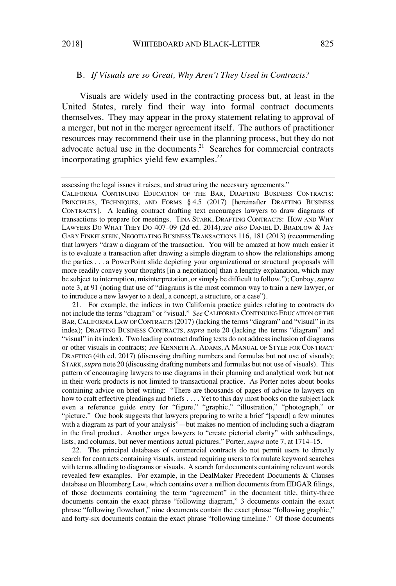#### B. *If Visuals are so Great, Why Aren't They Used in Contracts?*

Visuals are widely used in the contracting process but, at least in the United States, rarely find their way into formal contract documents themselves. They may appear in the proxy statement relating to approval of a merger, but not in the merger agreement itself. The authors of practitioner resources may recommend their use in the planning process, but they do not advocate actual use in the documents.<sup>21</sup> Searches for commercial contracts incorporating graphics yield few examples. $^{22}$ 

CALIFORNIA CONTINUING EDUCATION OF THE BAR, DRAFTING BUSINESS CONTRACTS: PRINCIPLES, TECHNIQUES, AND FORMS § 4.5 (2017) [hereinafter DRAFTING BUSINESS CONTRACTS]. A leading contract drafting text encourages lawyers to draw diagrams of transactions to prepare for meetings. TINA STARK, DRAFTING CONTRACTS: HOW AND WHY LAWYERS DO WHAT THEY DO 407–09 (2d ed. 2014)*;see also* DANIEL D. BRADLOW & JAY GARY FINKELSTEIN, NEGOTIATING BUSINESS TRANSACTIONS 116, 181 (2013) (recommending that lawyers "draw a diagram of the transaction. You will be amazed at how much easier it is to evaluate a transaction after drawing a simple diagram to show the relationships among the parties . . . a PowerPoint slide depicting your organizational or structural proposals will more readily convey your thoughts [in a negotiation] than a lengthy explanation, which may be subject to interruption, misinterpretation, or simply be difficult to follow."); Conboy, *supra* note 3, at 91 (noting that use of "diagrams is the most common way to train a new lawyer, or to introduce a new lawyer to a deal, a concept, a structure, or a case").

21. For example, the indices in two California practice guides relating to contracts do not include the terms "diagram" or "visual." *See* CALIFORNIA CONTINUING EDUCATION OF THE BAR, CALIFORNIA LAW OF CONTRACTS (2017) (lacking the terms "diagram" and "visual" in its index); DRAFTING BUSINESS CONTRACTS, *supra* note 20 (lacking the terms "diagram" and "visual" in itsindex). Two leading contract drafting texts do not addressinclusion of diagrams or other visuals in contracts; *see* KENNETH A. ADAMS, A MANUAL OF STYLE FOR CONTRACT DRAFTING (4th ed. 2017) (discussing drafting numbers and formulas but not use of visuals); STARK,*supra* note 20 (discussing drafting numbers and formulas but not use of visuals). This pattern of encouraging lawyers to use diagrams in their planning and analytical work but not in their work products is not limited to transactional practice. As Porter notes about books containing advice on brief writing: "There are thousands of pages of advice to lawyers on how to craft effective pleadings and briefs . . . . Yet to this day most books on the subject lack even a reference guide entry for "figure," "graphic," "illustration," "photograph," or "picture." One book suggests that lawyers preparing to write a brief "[spend] a few minutes with a diagram as part of your analysis"—but makes no mention of including such a diagram in the final product. Another urges lawyers to "create pictorial clarity" with subheadings, lists, and columns, but never mentions actual pictures." Porter, *supra* note 7, at 1714–15.

22. The principal databases of commercial contracts do not permit users to directly search for contracts containing visuals, instead requiring usersto formulate keyword searches with terms alluding to diagrams or visuals. A search for documents containing relevant words revealed few examples. For example, in the DealMaker Precedent Documents & Clauses database on Bloomberg Law, which contains over a million documents from EDGAR filings, of those documents containing the term "agreement" in the document title, thirty-three documents contain the exact phrase "following diagram," 3 documents contain the exact phrase "following flowchart," nine documents contain the exact phrase "following graphic," and forty-six documents contain the exact phrase "following timeline." Of those documents

assessing the legal issues it raises, and structuring the necessary agreements."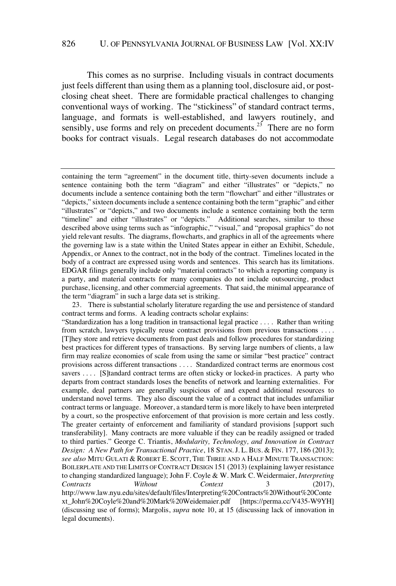#### 826 U. OF PENNSYLVANIA JOURNAL OF BUSINESS LAW [Vol. XX:IV

This comes as no surprise. Including visuals in contract documents just feels different than using them as a planning tool, disclosure aid, or postclosing cheat sheet. There are formidable practical challenges to changing conventional ways of working. The "stickiness" of standard contract terms, language, and formats is well-established, and lawyers routinely, and sensibly, use forms and rely on precedent documents.<sup>23</sup> There are no form books for contract visuals. Legal research databases do not accommodate

containing the term "agreement" in the document title, thirty-seven documents include a sentence containing both the term "diagram" and either "illustrates" or "depicts," no documents include a sentence containing both the term "flowchart" and either "illustrates or "depicts," sixteen documentsinclude a sentence containing both the term "graphic" and either "illustrates" or "depicts," and two documents include a sentence containing both the term "timeline" and either "illustrates" or "depicts." Additional searches, similar to those described above using terms such as "infographic," "visual," and "proposal graphics" do not yield relevant results. The diagrams, flowcharts, and graphics in all of the agreements where the governing law is a state within the United States appear in either an Exhibit, Schedule, Appendix, or Annex to the contract, not in the body of the contract. Timelines located in the body of a contract are expressed using words and sentences. This search has its limitations. EDGAR filings generally include only "material contracts" to which a reporting company is a party, and material contracts for many companies do not include outsourcing, product purchase, licensing, and other commercial agreements. That said, the minimal appearance of the term "diagram" in such a large data set is striking.

<sup>23.</sup> There is substantial scholarly literature regarding the use and persistence of standard contract terms and forms. A leading contracts scholar explains:

<sup>&</sup>quot;Standardization has a long tradition in transactional legal practice . . . . Rather than writing from scratch, lawyers typically reuse contract provisions from previous transactions . . . . [T]hey store and retrieve documents from past deals and follow procedures for standardizing best practices for different types of transactions. By serving large numbers of clients, a law firm may realize economies of scale from using the same or similar "best practice" contract provisions across different transactions . . . . Standardized contract terms are enormous cost savers . . . . [S]tandard contract terms are often sticky or locked-in practices. A party who departs from contract standards loses the benefits of network and learning externalities. For example, deal partners are generally suspicious of and expend additional resources to understand novel terms. They also discount the value of a contract that includes unfamiliar contract terms or language. Moreover, a standard term is more likely to have been interpreted by a court, so the prospective enforcement of that provision is more certain and less costly. The greater certainty of enforcement and familiarity of standard provisions [support such transferability]. Many contracts are more valuable if they can be readily assigned or traded to third parties." George C. Triantis, *Modularity, Technology, and Innovation in Contract Design: A New Path for Transactional Practice*, 18 STAN. J. L. BUS. & FIN. 177, 186 (2013); *see also* MITU GULATI & ROBERT E. SCOTT, THE THREE AND A HALF MINUTE TRANSACTION: BOILERPLATE AND THE LIMITS OF CONTRACT DESIGN 151 (2013) (explaining lawyer resistance to changing standardized language); John F. Coyle & W. Mark C. Weidermaier, *Interpreting Contracts Without Context* 3 (2017), http://www.law.nyu.edu/sites/default/files/Interpreting%20Contracts%20Without%20Conte xt\_John%20Coyle%20and%20Mark%20Weidemaier.pdf [https://perma.cc/V435-W9YH] (discussing use of forms); Margolis, *supra* note 10, at 15 (discussing lack of innovation in legal documents).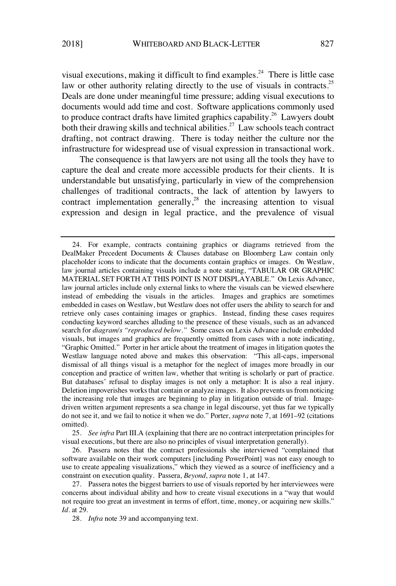visual executions, making it difficult to find examples.<sup>24</sup> There is little case law or other authority relating directly to the use of visuals in contracts.<sup>25</sup> Deals are done under meaningful time pressure; adding visual executions to documents would add time and cost. Software applications commonly used to produce contract drafts have limited graphics capability. <sup>26</sup> Lawyers doubt both their drawing skills and technical abilities.<sup>27</sup> Law schools teach contract drafting, not contract drawing. There is today neither the culture nor the infrastructure for widespread use of visual expression in transactional work.

The consequence is that lawyers are not using all the tools they have to capture the deal and create more accessible products for their clients. It is understandable but unsatisfying, particularly in view of the comprehension challenges of traditional contracts, the lack of attention by lawyers to contract implementation generally, $2^8$  the increasing attention to visual expression and design in legal practice, and the prevalence of visual

<sup>24.</sup> For example, contracts containing graphics or diagrams retrieved from the DealMaker Precedent Documents & Clauses database on Bloomberg Law contain only placeholder icons to indicate that the documents contain graphics or images. On Westlaw, law journal articles containing visuals include a note stating, "TABULAR OR GRAPHIC MATERIAL SET FORTH AT THIS POINT IS NOT DISPLAYABLE." On Lexis Advance, law journal articles include only external links to where the visuals can be viewed elsewhere instead of embedding the visuals in the articles. Images and graphics are sometimes embedded in cases on Westlaw, but Westlaw does not offer users the ability to search for and retrieve only cases containing images or graphics. Instead, finding these cases requires conducting keyword searches alluding to the presence of these visuals, such as an advanced search for *diagram/s "reproduced below."* Some cases on Lexis Advance include embedded visuals, but images and graphics are frequently omitted from cases with a note indicating, "Graphic Omitted." Porter in her article about the treatment of images in litigation quotes the Westlaw language noted above and makes this observation: "This all-caps, impersonal dismissal of all things visual is a metaphor for the neglect of images more broadly in our conception and practice of written law, whether that writing is scholarly or part of practice. But databases' refusal to display images is not only a metaphor: It is also a real injury. Deletion impoverishes works that contain or analyze images. It also prevents us from noticing the increasing role that images are beginning to play in litigation outside of trial. Imagedriven written argument represents a sea change in legal discourse, yet thus far we typically do not see it, and we fail to notice it when we do." Porter, *supra* note 7, at 1691–92 (citations omitted).

<sup>25.</sup> *See infra* Part III.A (explaining that there are no contract interpretation principlesfor visual executions, but there are also no principles of visual interpretation generally).

<sup>26.</sup> Passera notes that the contract professionals she interviewed "complained that software available on their work computers [including PowerPoint] was not easy enough to use to create appealing visualizations," which they viewed as a source of inefficiency and a constraint on execution quality. Passera, *Beyond*, *supra* note 1, at 147.

<sup>27.</sup> Passera notes the biggest barriers to use of visuals reported by her interviewees were concerns about individual ability and how to create visual executions in a "way that would not require too great an investment in terms of effort, time, money, or acquiring new skills." *Id.* at 29.

<sup>28.</sup> *Infra* note 39 and accompanying text.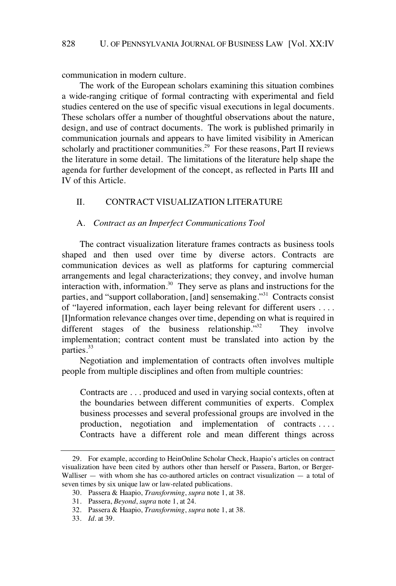communication in modern culture.

The work of the European scholars examining this situation combines a wide-ranging critique of formal contracting with experimental and field studies centered on the use of specific visual executions in legal documents. These scholars offer a number of thoughtful observations about the nature, design, and use of contract documents. The work is published primarily in communication journals and appears to have limited visibility in American scholarly and practitioner communities.<sup>29</sup> For these reasons, Part II reviews the literature in some detail. The limitations of the literature help shape the agenda for further development of the concept, as reflected in Parts III and IV of this Article.

# II. CONTRACT VISUALIZATION LITERATURE

#### A. *Contract as an Imperfect Communications Tool*

The contract visualization literature frames contracts as business tools shaped and then used over time by diverse actors. Contracts are communication devices as well as platforms for capturing commercial arrangements and legal characterizations; they convey, and involve human interaction with, information.<sup>30</sup> They serve as plans and instructions for the parties, and "support collaboration, [and] sensemaking."<sup>31</sup> Contracts consist of "layered information, each layer being relevant for different users . . . . [I]nformation relevance changes over time, depending on what is required in different stages of the business relationship. $13^2$  They involve implementation; contract content must be translated into action by the parties.<sup>33</sup>

Negotiation and implementation of contracts often involves multiple people from multiple disciplines and often from multiple countries:

Contracts are . . . produced and used in varying social contexts, often at the boundaries between different communities of experts. Complex business processes and several professional groups are involved in the production, negotiation and implementation of contracts . . . . Contracts have a different role and mean different things across

<sup>29.</sup> For example, according to HeinOnline Scholar Check, Haapio's articles on contract visualization have been cited by authors other than herself or Passera, Barton, or Berger-Walliser  $-$  with whom she has co-authored articles on contract visualization  $-$  a total of seven times by six unique law or law-related publications.

<sup>30.</sup> Passera & Haapio, *Transforming*, *supra* note 1, at 38.

<sup>31.</sup> Passera, *Beyond*, *supra* note 1, at 24.

<sup>32.</sup> Passera & Haapio, *Transforming*, *supra* note 1, at 38.

<sup>33.</sup> *Id.* at 39.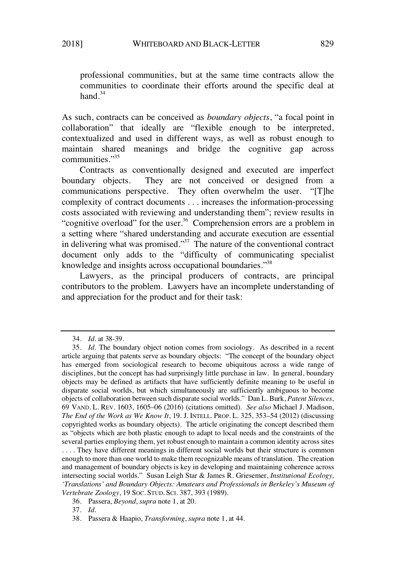professional communities, but at the same time contracts allow the communities to coordinate their efforts around the specific deal at hand  $34$ 

As such, contracts can be conceived as *boundary objects*, "a focal point in collaboration" that ideally are "flexible enough to be interpreted, contextualized and used in different ways, as well as robust enough to maintain shared meanings and bridge the cognitive gap across communities."<sup>35</sup>

Contracts as conventionally designed and executed are imperfect boundary objects. They are not conceived or designed from a communications perspective. They often overwhelm the user. "[T]he complexity of contract documents . . . increases the information-processing costs associated with reviewing and understanding them"; review results in "cognitive overload" for the user.<sup>36</sup> Comprehension errors are a problem in a setting where "shared understanding and accurate execution are essential in delivering what was promised."<sup>37</sup> The nature of the conventional contract document only adds to the "difficulty of communicating specialist knowledge and insights across occupational boundaries."<sup>38</sup>

Lawyers, as the principal producers of contracts, are principal contributors to the problem. Lawyers have an incomplete understanding of and appreciation for the product and for their task:

. . . . They have different meanings in different social worlds but their structure is common enough to more than one world to make them recognizable means of translation. The creation and management of boundary objects is key in developing and maintaining coherence across intersecting social worlds." Susan Leigh Star & James R. Griesemer, *Institutional Ecology, 'Translations' and Boundary Objects: Amateurs and Professionals in Berkeley's Museum of Vertebrate Zoology*, 19 SOC. STUD. SCI. 387, 393 (1989).

<sup>34.</sup> *Id.* at 38-39.

<sup>35.</sup> *Id.* The boundary object notion comes from sociology. As described in a recent article arguing that patents serve as boundary objects: "The concept of the boundary object has emerged from sociological research to become ubiquitous across a wide range of disciplines, but the concept has had surprisingly little purchase in law. In general, boundary objects may be defined as artifacts that have sufficiently definite meaning to be useful in disparate social worlds, but which simultaneously are sufficiently ambiguous to become objects of collaboration between such disparate social worlds." Dan L. Burk, *Patent Silences*, 69 VAND. L. REV. 1603, 1605–06 (2016) (citations omitted). *See also* Michael J. Madison, *The End of the Work as We Know It*, 19. J. INTELL. PROP. L. 325, 353–54 (2012) (discussing copyrighted works as boundary objects). The article originating the concept described them as "objects which are both plastic enough to adapt to local needs and the constraints of the several parties employing them, yet robust enough to maintain a common identity across sites

<sup>36.</sup> Passera, *Beyond*, *supra* note 1, at 20.

<sup>37.</sup> *Id.*

<sup>38.</sup> Passera & Haapio, *Transforming*, *supra* note 1, at 44.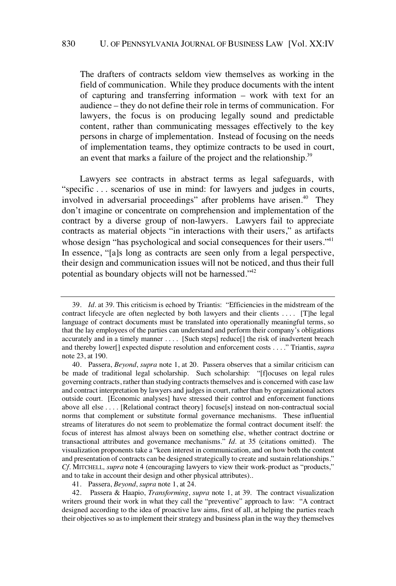The drafters of contracts seldom view themselves as working in the field of communication. While they produce documents with the intent of capturing and transferring information – work with text for an audience – they do not define their role in terms of communication. For lawyers, the focus is on producing legally sound and predictable content, rather than communicating messages effectively to the key persons in charge of implementation. Instead of focusing on the needs of implementation teams, they optimize contracts to be used in court, an event that marks a failure of the project and the relationship.<sup>39</sup>

Lawyers see contracts in abstract terms as legal safeguards, with "specific . . . scenarios of use in mind: for lawyers and judges in courts, involved in adversarial proceedings" after problems have arisen.<sup>40</sup> They don't imagine or concentrate on comprehension and implementation of the contract by a diverse group of non-lawyers. Lawyers fail to appreciate contracts as material objects "in interactions with their users," as artifacts whose design "has psychological and social consequences for their users."<sup>41</sup> In essence, "[a]s long as contracts are seen only from a legal perspective, their design and communication issues will not be noticed, and thus their full potential as boundary objects will not be harnessed."<sup>42</sup>

<sup>39.</sup> *Id.* at 39. This criticism is echoed by Triantis: "Efficiencies in the midstream of the contract lifecycle are often neglected by both lawyers and their clients . . . . [T]he legal language of contract documents must be translated into operationally meaningful terms, so that the lay employees of the parties can understand and perform their company's obligations accurately and in a timely manner . . . . [Such steps] reduce[] the risk of inadvertent breach and thereby lower[] expected dispute resolution and enforcement costs . . . ." Triantis, *supra* note 23, at 190.

<sup>40.</sup> Passera, *Beyond*, *supra* note 1, at 20. Passera observes that a similar criticism can be made of traditional legal scholarship. Such scholarship: "[f]ocuses on legal rules governing contracts, rather than studying contracts themselves and is concerned with case law and contract interpretation by lawyers and judgesin court, rather than by organizational actors outside court. [Economic analyses] have stressed their control and enforcement functions above all else . . . . [Relational contract theory] focuse[s] instead on non-contractual social norms that complement or substitute formal governance mechanisms. These influential streams of literatures do not seem to problematize the formal contract document itself: the focus of interest has almost always been on something else, whether contract doctrine or transactional attributes and governance mechanisms." *Id.* at 35 (citations omitted). The visualization proponents take a "keen interest in communication, and on how both the content and presentation of contracts can be designed strategically to create and sustain relationships." *Cf.* MITCHELL*, supra* note 4 (encouraging lawyers to view their work-product as "products," and to take in account their design and other physical attributes)..

<sup>41.</sup> Passera, *Beyond*, *supra* note 1, at 24.

<sup>42.</sup> Passera & Haapio, *Transforming*, *supra* note 1, at 39. The contract visualization writers ground their work in what they call the "preventive" approach to law: "A contract designed according to the idea of proactive law aims, first of all, at helping the parties reach their objectives so as to implement their strategy and business plan in the way they themselves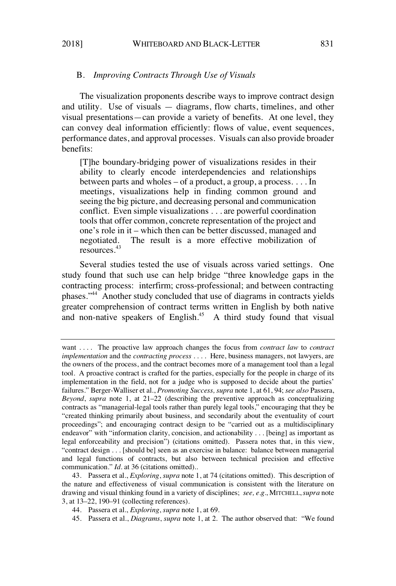# B. *Improving Contracts Through Use of Visuals*

The visualization proponents describe ways to improve contract design and utility. Use of visuals — diagrams, flow charts, timelines, and other visual presentations—can provide a variety of benefits. At one level, they can convey deal information efficiently: flows of value, event sequences, performance dates, and approval processes. Visuals can also provide broader benefits:

[T]he boundary-bridging power of visualizations resides in their ability to clearly encode interdependencies and relationships between parts and wholes – of a product, a group, a process. . . . In meetings, visualizations help in finding common ground and seeing the big picture, and decreasing personal and communication conflict. Even simple visualizations . . . are powerful coordination tools that offer common, concrete representation of the project and one's role in it – which then can be better discussed, managed and negotiated. The result is a more effective mobilization of resources.<sup>43</sup>

Several studies tested the use of visuals across varied settings. One study found that such use can help bridge "three knowledge gaps in the contracting process: interfirm; cross-professional; and between contracting phases."<sup>44</sup> Another study concluded that use of diagrams in contracts yields greater comprehension of contract terms written in English by both native and non-native speakers of English.<sup>45</sup> A third study found that visual

want . . . . The proactive law approach changes the focus from *contract law* to *contract implementation* and the *contracting process* . . . . Here, business managers, not lawyers, are the owners of the process, and the contract becomes more of a management tool than a legal tool. A proactive contract is crafted for the parties, especially for the people in charge of its implementation in the field, not for a judge who is supposed to decide about the parties' failures." Berger-Walliser et al., *Promoting Success, supra* note 1, at 61, 94; *see also* Passera, *Beyond*, *supra* note 1, at 21–22 (describing the preventive approach as conceptualizing contracts as "managerial-legal tools rather than purely legal tools," encouraging that they be "created thinking primarily about business, and secondarily about the eventuality of court proceedings"; and encouraging contract design to be "carried out as a multidisciplinary endeavor" with "information clarity, concision, and actionability . . . [being] as important as legal enforceability and precision") (citations omitted). Passera notes that, in this view, "contract design . . . [should be] seen as an exercise in balance: balance between managerial and legal functions of contracts, but also between technical precision and effective communication." *Id.* at 36 (citations omitted)..

<sup>43.</sup> Passera et al., *Exploring*, *supra* note 1, at 74 (citations omitted). This description of the nature and effectiveness of visual communication is consistent with the literature on drawing and visual thinking found in a variety of disciplines; *see, e.g.,* MITCHELL,*supra* note 3, at 13–22, 190–91 (collecting references).

<sup>44.</sup> Passera et al., *Exploring*, *supra* note 1, at 69.

<sup>45.</sup> Passera et al., *Diagrams*, *supra* note 1, at 2. The author observed that: "We found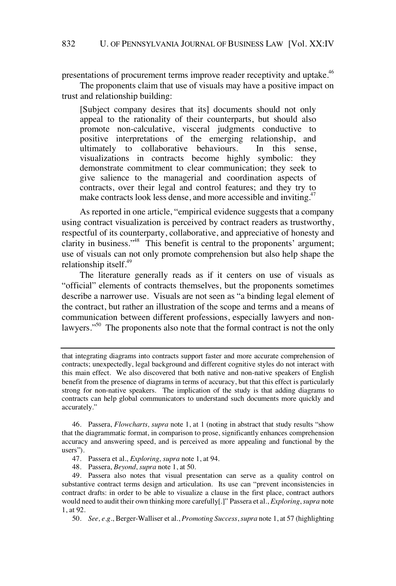presentations of procurement terms improve reader receptivity and uptake.<sup>46</sup>

The proponents claim that use of visuals may have a positive impact on trust and relationship building:

[Subject company desires that its] documents should not only appeal to the rationality of their counterparts, but should also promote non-calculative, visceral judgments conductive to positive interpretations of the emerging relationship, and ultimately to collaborative behaviours. In this sense, visualizations in contracts become highly symbolic: they demonstrate commitment to clear communication; they seek to give salience to the managerial and coordination aspects of contracts, over their legal and control features; and they try to make contracts look less dense, and more accessible and inviting.<sup> $47$ </sup>

As reported in one article, "empirical evidence suggests that a company using contract visualization is perceived by contract readers as trustworthy, respectful of its counterparty, collaborative, and appreciative of honesty and clarity in business."<sup>48</sup> This benefit is central to the proponents' argument; use of visuals can not only promote comprehension but also help shape the relationship itself. $49$ 

The literature generally reads as if it centers on use of visuals as "official" elements of contracts themselves, but the proponents sometimes describe a narrower use. Visuals are not seen as "a binding legal element of the contract, but rather an illustration of the scope and terms and a means of communication between different professions, especially lawyers and nonlawyers."<sup>50</sup> The proponents also note that the formal contract is not the only

that integrating diagrams into contracts support faster and more accurate comprehension of contracts; unexpectedly, legal background and different cognitive styles do not interact with this main effect. We also discovered that both native and non-native speakers of English benefit from the presence of diagrams in terms of accuracy, but that this effect is particularly strong for non-native speakers. The implication of the study is that adding diagrams to contracts can help global communicators to understand such documents more quickly and accurately."

46. Passera, *Flowcharts, supra* note 1, at 1 (noting in abstract that study results "show that the diagrammatic format, in comparison to prose, significantly enhances comprehension accuracy and answering speed, and is perceived as more appealing and functional by the users").

47. Passera et al., *Exploring, supra* note 1, at 94.

48. Passera, *Beyond*, *supra* note 1, at 50.

49. Passera also notes that visual presentation can serve as a quality control on substantive contract terms design and articulation. Its use can "prevent inconsistencies in contract drafts: in order to be able to visualize a clause in the first place, contract authors would need to audit their own thinking more carefully[.]" Passera et al., *Exploring*, *supra* note 1, at 92.

50. *See, e.g.*, Berger-Walliser et al., *Promoting Success*, *supra* note 1, at 57 (highlighting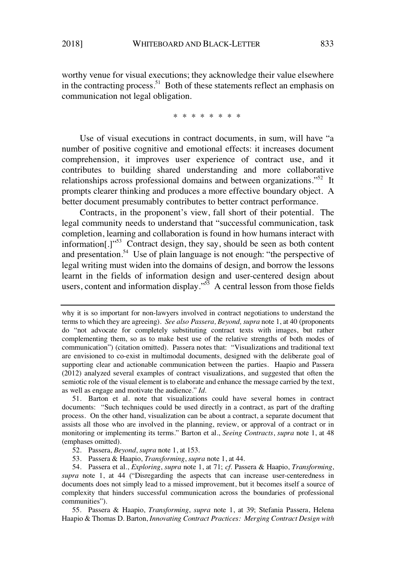worthy venue for visual executions; they acknowledge their value elsewhere in the contracting process.<sup>51</sup> Both of these statements reflect an emphasis on communication not legal obligation.

\* \* \* \* \* \* \* \*

Use of visual executions in contract documents, in sum, will have "a number of positive cognitive and emotional effects: it increases document comprehension, it improves user experience of contract use, and it contributes to building shared understanding and more collaborative relationships across professional domains and between organizations."<sup>52</sup> It prompts clearer thinking and produces a more effective boundary object. A better document presumably contributes to better contract performance.

Contracts, in the proponent's view, fall short of their potential. The legal community needs to understand that "successful communication, task completion, learning and collaboration is found in how humans interact with information<sup>[1]</sup><sup>53</sup> Contract design, they say, should be seen as both content and presentation.<sup>54</sup> Use of plain language is not enough: "the perspective of legal writing must widen into the domains of design, and borrow the lessons learnt in the fields of information design and user-centered design about users, content and information display."<sup>55</sup> A central lesson from those fields

51. Barton et al. note that visualizations could have several homes in contract documents: "Such techniques could be used directly in a contract, as part of the drafting process. On the other hand, visualization can be about a contract, a separate document that assists all those who are involved in the planning, review, or approval of a contract or in monitoring or implementing its terms." Barton et al., *Seeing Contracts*, *supra* note 1, at 48 (emphases omitted).

53*.* Passera & Haapio, *Transforming*, *supra* note 1, at 44.

54. Passera et al., *Exploring*, *supra* note 1, at 71; *cf.* Passera & Haapio, *Transforming*, *supra* note 1, at 44 ("Disregarding the aspects that can increase user-centeredness in documents does not simply lead to a missed improvement, but it becomes itself a source of complexity that hinders successful communication across the boundaries of professional communities").

55. Passera & Haapio, *Transforming*, *supra* note 1, at 39; Stefania Passera, Helena Haapio & Thomas D. Barton, *Innovating Contract Practices: Merging Contract Design with*

why it is so important for non-lawyers involved in contract negotiations to understand the terms to which they are agreeing). *See also Passera, Beyond, supra* note 1, at 40 (proponents do "not advocate for completely substituting contract texts with images, but rather complementing them, so as to make best use of the relative strengths of both modes of communication") (citation omitted). Passera notes that: "Visualizations and traditional text are envisioned to co-exist in multimodal documents, designed with the deliberate goal of supporting clear and actionable communication between the parties. Haapio and Passera (2012) analyzed several examples of contract visualizations, and suggested that often the semiotic role of the visual element is to elaborate and enhance the message carried by the text, as well as engage and motivate the audience." *Id.*

<sup>52.</sup> Passera, *Beyond*, *supra* note 1, at 153.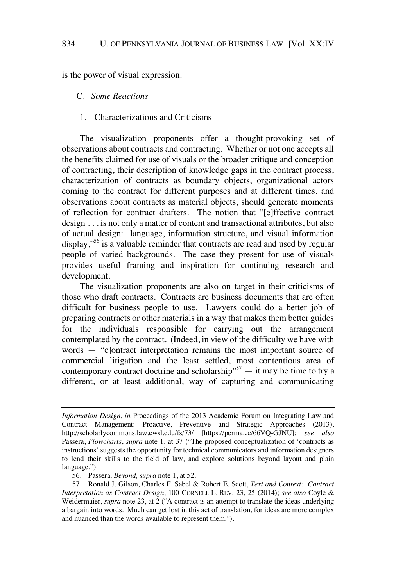is the power of visual expression.

C. *Some Reactions*

# 1. Characterizations and Criticisms

The visualization proponents offer a thought-provoking set of observations about contracts and contracting. Whether or not one accepts all the benefits claimed for use of visuals or the broader critique and conception of contracting, their description of knowledge gaps in the contract process, characterization of contracts as boundary objects, organizational actors coming to the contract for different purposes and at different times, and observations about contracts as material objects, should generate moments of reflection for contract drafters. The notion that "[e]ffective contract design . . . is not only a matter of content and transactional attributes, but also of actual design: language, information structure, and visual information display,"<sup>56</sup> is a valuable reminder that contracts are read and used by regular people of varied backgrounds. The case they present for use of visuals provides useful framing and inspiration for continuing research and development.

The visualization proponents are also on target in their criticisms of those who draft contracts. Contracts are business documents that are often difficult for business people to use. Lawyers could do a better job of preparing contracts or other materials in a way that makes them better guides for the individuals responsible for carrying out the arrangement contemplated by the contract. (Indeed, in view of the difficulty we have with words — "c]ontract interpretation remains the most important source of commercial litigation and the least settled, most contentious area of contemporary contract doctrine and scholarship"<sup>57</sup>  $-$  it may be time to try a different, or at least additional, way of capturing and communicating

56. Passera*, Beyond, supra* note 1, at 52.

*Information Design*, *in* Proceedings of the 2013 Academic Forum on Integrating Law and Contract Management: Proactive, Preventive and Strategic Approaches (2013), http://scholarlycommons.law.cwsl.edu/fs/73/ [https://perma.cc/66VQ-GJNU]; *see also* Passera, *Flowcharts*, *supra* note 1, at 37 ("The proposed conceptualization of 'contracts as instructions' suggests the opportunity for technical communicators and information designers to lend their skills to the field of law, and explore solutions beyond layout and plain language.").

<sup>57.</sup> Ronald J. Gilson, Charles F. Sabel & Robert E. Scott, *Text and Context: Contract Interpretation as Contract Design*, 100 CORNELL L. REV. 23, 25 (2014); *see also* Coyle & Weidermaier, *supra* note 23, at 2 ("A contract is an attempt to translate the ideas underlying a bargain into words. Much can get lost in this act of translation, for ideas are more complex and nuanced than the words available to represent them.").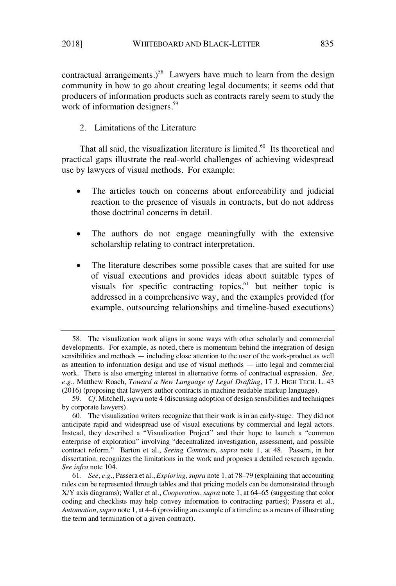contractual arrangements.)<sup>58</sup> Lawyers have much to learn from the design community in how to go about creating legal documents; it seems odd that producers of information products such as contracts rarely seem to study the work of information designers.<sup>59</sup>

2. Limitations of the Literature

That all said, the visualization literature is limited.<sup>60</sup> Its theoretical and practical gaps illustrate the real-world challenges of achieving widespread use by lawyers of visual methods. For example:

- The articles touch on concerns about enforceability and judicial reaction to the presence of visuals in contracts, but do not address those doctrinal concerns in detail.
- The authors do not engage meaningfully with the extensive scholarship relating to contract interpretation.
- The literature describes some possible cases that are suited for use of visual executions and provides ideas about suitable types of visuals for specific contracting topics, $61$  but neither topic is addressed in a comprehensive way, and the examples provided (for example, outsourcing relationships and timeline-based executions)

<sup>58.</sup> The visualization work aligns in some ways with other scholarly and commercial developments. For example, as noted, there is momentum behind the integration of design sensibilities and methods — including close attention to the user of the work-product as well as attention to information design and use of visual methods — into legal and commercial work. There is also emerging interest in alternative forms of contractual expression. *See, e.g.*, Matthew Roach, *Toward a New Language of Legal Drafting*, 17 J. HIGH TECH. L. 43 (2016) (proposing that lawyers author contracts in machine readable markup language).

<sup>59.</sup> *Cf.* Mitchell, *supra* note 4 (discussing adoption of design sensibilities and techniques by corporate lawyers).

<sup>60.</sup> The visualization writers recognize that their work is in an early-stage. They did not anticipate rapid and widespread use of visual executions by commercial and legal actors. Instead, they described a "Visualization Project" and their hope to launch a "common enterprise of exploration" involving "decentralized investigation, assessment, and possible contract reform." Barton et al., *Seeing Contracts, supra* note 1, at 48. Passera, in her dissertation, recognizes the limitations in the work and proposes a detailed research agenda. *See infra* note 104.

<sup>61.</sup> *See, e.g.*, Passera et al., *Exploring*, *supra* note 1, at 78–79 (explaining that accounting rules can be represented through tables and that pricing models can be demonstrated through X/Y axis diagrams); Waller et al., *Cooperation*, *supra* note 1, at 64–65 (suggesting that color coding and checklists may help convey information to contracting parties); Passera et al., *Automation*, *supra* note 1, at 4–6 (providing an example of a timeline as a means of illustrating the term and termination of a given contract).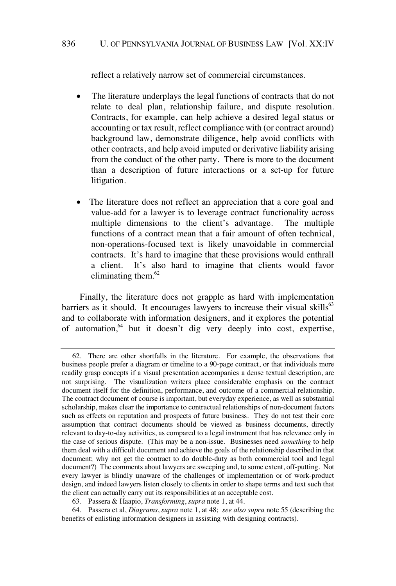reflect a relatively narrow set of commercial circumstances.

- The literature underplays the legal functions of contracts that do not relate to deal plan, relationship failure, and dispute resolution. Contracts, for example, can help achieve a desired legal status or accounting or tax result, reflect compliance with (or contract around) background law, demonstrate diligence, help avoid conflicts with other contracts, and help avoid imputed or derivative liability arising from the conduct of the other party. There is more to the document than a description of future interactions or a set-up for future litigation.
- The literature does not reflect an appreciation that a core goal and value-add for a lawyer is to leverage contract functionality across multiple dimensions to the client's advantage. The multiple functions of a contract mean that a fair amount of often technical, non-operations-focused text is likely unavoidable in commercial contracts. It's hard to imagine that these provisions would enthrall a client. It's also hard to imagine that clients would favor eliminating them. 62

Finally, the literature does not grapple as hard with implementation barriers as it should. It encourages lawyers to increase their visual skills<sup>63</sup> and to collaborate with information designers, and it explores the potential of automation, $64$  but it doesn't dig very deeply into cost, expertise,

<sup>62.</sup> There are other shortfalls in the literature. For example, the observations that business people prefer a diagram or timeline to a 90-page contract, or that individuals more readily grasp concepts if a visual presentation accompanies a dense textual description, are not surprising. The visualization writers place considerable emphasis on the contract document itself for the definition, performance, and outcome of a commercial relationship. The contract document of course is important, but everyday experience, as well as substantial scholarship, makes clear the importance to contractual relationships of non-document factors such as effects on reputation and prospects of future business. They do not test their core assumption that contract documents should be viewed as business documents, directly relevant to day-to-day activities, as compared to a legal instrument that has relevance only in the case of serious dispute. (This may be a non-issue. Businesses need *something* to help them deal with a difficult document and achieve the goals of the relationship described in that document; why not get the contract to do double-duty as both commercial tool and legal document?) The comments about lawyers are sweeping and, to some extent, off-putting. Not every lawyer is blindly unaware of the challenges of implementation or of work-product design, and indeed lawyers listen closely to clients in order to shape terms and text such that the client can actually carry out its responsibilities at an acceptable cost.

<sup>63.</sup> Passera & Haapio, *Transforming*, *supra* note 1, at 44.

<sup>64.</sup> Passera et al, *Diagrams*, *supra* note 1, at 48; *see also supra* note 55 (describing the benefits of enlisting information designers in assisting with designing contracts).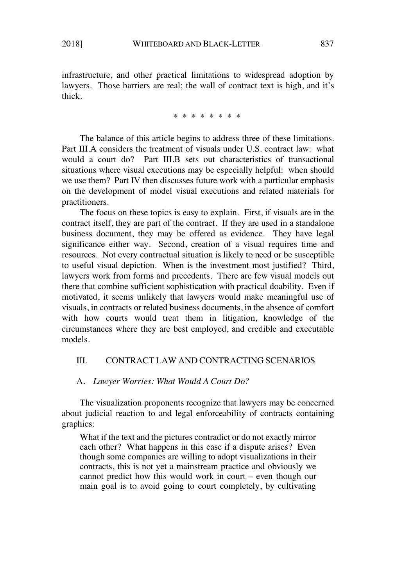infrastructure, and other practical limitations to widespread adoption by lawyers. Those barriers are real; the wall of contract text is high, and it's thick.

\* \* \* \* \* \* \* \*

The balance of this article begins to address three of these limitations. Part III.A considers the treatment of visuals under U.S. contract law: what would a court do? Part III.B sets out characteristics of transactional situations where visual executions may be especially helpful: when should we use them? Part IV then discusses future work with a particular emphasis on the development of model visual executions and related materials for practitioners.

The focus on these topics is easy to explain. First, if visuals are in the contract itself, they are part of the contract. If they are used in a standalone business document, they may be offered as evidence. They have legal significance either way. Second, creation of a visual requires time and resources. Not every contractual situation is likely to need or be susceptible to useful visual depiction. When is the investment most justified? Third, lawyers work from forms and precedents. There are few visual models out there that combine sufficient sophistication with practical doability. Even if motivated, it seems unlikely that lawyers would make meaningful use of visuals, in contracts or related business documents, in the absence of comfort with how courts would treat them in litigation, knowledge of the circumstances where they are best employed, and credible and executable models.

# III. CONTRACT LAW AND CONTRACTING SCENARIOS

### A. *Lawyer Worries: What Would A Court Do?*

The visualization proponents recognize that lawyers may be concerned about judicial reaction to and legal enforceability of contracts containing graphics:

What if the text and the pictures contradict or do not exactly mirror each other? What happens in this case if a dispute arises? Even though some companies are willing to adopt visualizations in their contracts, this is not yet a mainstream practice and obviously we cannot predict how this would work in court – even though our main goal is to avoid going to court completely, by cultivating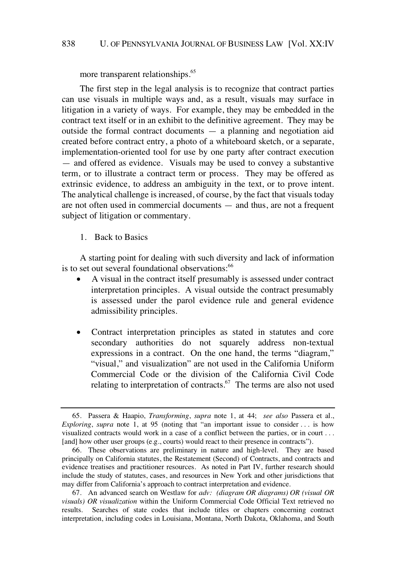### 838 U. OF PENNSYLVANIA JOURNAL OF BUSINESS LAW [Vol. XX:IV

more transparent relationships.<sup>65</sup>

The first step in the legal analysis is to recognize that contract parties can use visuals in multiple ways and, as a result, visuals may surface in litigation in a variety of ways. For example, they may be embedded in the contract text itself or in an exhibit to the definitive agreement. They may be outside the formal contract documents — a planning and negotiation aid created before contract entry, a photo of a whiteboard sketch, or a separate, implementation-oriented tool for use by one party after contract execution — and offered as evidence. Visuals may be used to convey a substantive term, or to illustrate a contract term or process. They may be offered as extrinsic evidence, to address an ambiguity in the text, or to prove intent. The analytical challenge is increased, of course, by the fact that visuals today are not often used in commercial documents — and thus, are not a frequent subject of litigation or commentary.

1. Back to Basics

A starting point for dealing with such diversity and lack of information is to set out several foundational observations:<sup>66</sup>

- A visual in the contract itself presumably is assessed under contract interpretation principles. A visual outside the contract presumably is assessed under the parol evidence rule and general evidence admissibility principles.
- Contract interpretation principles as stated in statutes and core secondary authorities do not squarely address non-textual expressions in a contract. On the one hand, the terms "diagram," "visual," and visualization" are not used in the California Uniform Commercial Code or the division of the California Civil Code relating to interpretation of contracts. $67$  The terms are also not used

<sup>65.</sup> Passera & Haapio, *Transforming*, *supra* note 1, at 44; *see also* Passera et al., *Exploring*, *supra* note 1, at 95 (noting that "an important issue to consider . . . is how visualized contracts would work in a case of a conflict between the parties, or in court . . . [and] how other user groups (e.g., courts) would react to their presence in contracts").

<sup>66.</sup> These observations are preliminary in nature and high-level. They are based principally on California statutes, the Restatement (Second) of Contracts, and contracts and evidence treatises and practitioner resources. As noted in Part IV, further research should include the study of statutes, cases, and resources in New York and other jurisdictions that may differ from California's approach to contract interpretation and evidence.

<sup>67.</sup> An advanced search on Westlaw for *adv: (diagram OR diagrams) OR (visual OR visuals) OR visualization* within the Uniform Commercial Code Official Text retrieved no results. Searches of state codes that include titles or chapters concerning contract interpretation, including codes in Louisiana, Montana, North Dakota, Oklahoma, and South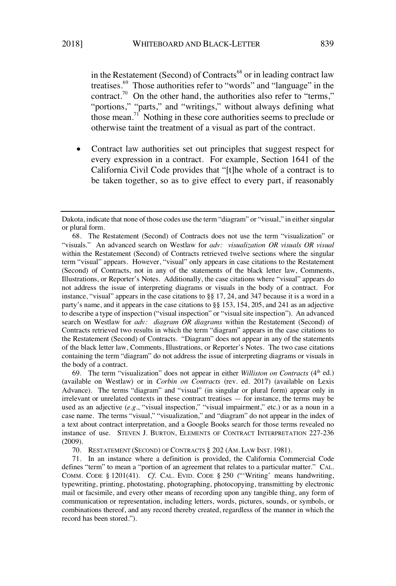in the Restatement (Second) of Contracts<sup>68</sup> or in leading contract law treatises.<sup>69</sup> Those authorities refer to "words" and "language" in the contract.<sup>70</sup> On the other hand, the authorities also refer to "terms," "portions," "parts," and "writings," without always defining what those mean.<sup>71</sup> Nothing in these core authorities seems to preclude or otherwise taint the treatment of a visual as part of the contract.

• Contract law authorities set out principles that suggest respect for every expression in a contract. For example, Section 1641 of the California Civil Code provides that "[t]he whole of a contract is to be taken together, so as to give effect to every part, if reasonably

69. The term "visualization" does not appear in either *Williston on Contracts* (4th ed.) (available on Westlaw) or in *Corbin on Contracts* (rev. ed. 2017) (available on Lexis Advance). The terms "diagram" and "visual" (in singular or plural form) appear only in irrelevant or unrelated contexts in these contract treatises — for instance, the terms may be used as an adjective (e.g., "visual inspection," "visual impairment," etc.) or as a noun in a case name. The terms "visual," "visualization," and "diagram" do not appear in the index of a text about contract interpretation, and a Google Books search for those terms revealed no instance of use. STEVEN J. BURTON, ELEMENTS OF CONTRACT INTERPRETATION 227-236 (2009).

70. RESTATEMENT (SECOND) OF CONTRACTS § 202 (AM. LAW INST. 1981).

71. In an instance where a definition is provided, the California Commercial Code defines "term" to mean a "portion of an agreement that relates to a particular matter." CAL. COMM. CODE § 1201(41). *Cf.* CAL. EVID. CODE § 250 ("'Writing' means handwriting, typewriting, printing, photostating, photographing, photocopying, transmitting by electronic mail or facsimile, and every other means of recording upon any tangible thing, any form of communication or representation, including letters, words, pictures, sounds, or symbols, or combinations thereof, and any record thereby created, regardless of the manner in which the record has been stored.").

Dakota, indicate that none of those codes use the term "diagram" or "visual," in either singular or plural form.

<sup>68.</sup> The Restatement (Second) of Contracts does not use the term "visualization" or "visuals." An advanced search on Westlaw for *adv: visualization OR visuals OR visual* within the Restatement (Second) of Contracts retrieved twelve sections where the singular term "visual" appears. However, "visual" only appears in case citations to the Restatement (Second) of Contracts, not in any of the statements of the black letter law, Comments, Illustrations, or Reporter's Notes. Additionally, the case citations where "visual" appears do not address the issue of interpreting diagrams or visuals in the body of a contract. For instance, "visual" appears in the case citations to §§ 17, 24, and 347 because it is a word in a party's name, and it appears in the case citations to §§ 153, 154, 205, and 241 as an adjective to describe a type of inspection ("visual inspection" or "visual site inspection"). An advanced search on Westlaw for *adv: diagram OR diagrams* within the Restatement (Second) of Contracts retrieved two results in which the term "diagram" appears in the case citations to the Restatement (Second) of Contracts. "Diagram" does not appear in any of the statements of the black letter law, Comments, Illustrations, or Reporter's Notes. The two case citations containing the term "diagram" do not address the issue of interpreting diagrams or visuals in the body of a contract.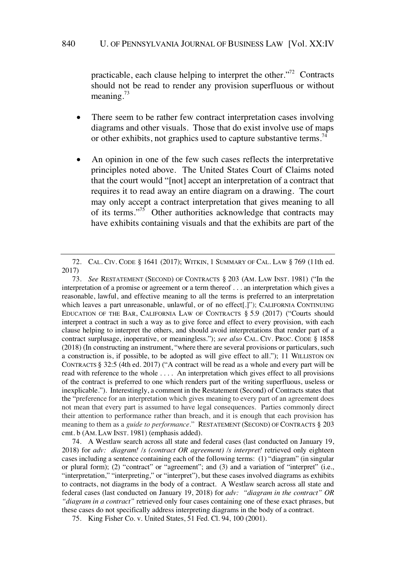practicable, each clause helping to interpret the other."<sup>72</sup> Contracts should not be read to render any provision superfluous or without meaning. $^{73}$ 

- There seem to be rather few contract interpretation cases involving diagrams and other visuals. Those that do exist involve use of maps or other exhibits, not graphics used to capture substantive terms.<sup>74</sup>
- An opinion in one of the few such cases reflects the interpretative principles noted above. The United States Court of Claims noted that the court would "[not] accept an interpretation of a contract that requires it to read away an entire diagram on a drawing. The court may only accept a contract interpretation that gives meaning to all of its terms."<sup>75</sup> Other authorities acknowledge that contracts may have exhibits containing visuals and that the exhibits are part of the

74. A Westlaw search across all state and federal cases (last conducted on January 19, 2018) for *adv: diagram! /s (contract OR agreement) /s interpret!* retrieved only eighteen cases including a sentence containing each of the following terms: (1) "diagram" (in singular or plural form); (2) "contract" or "agreement"; and (3) and a variation of "interpret" (i.e., "interpretation," "interpreting," or "interpret"), but these cases involved diagrams as exhibits to contracts, not diagrams in the body of a contract. A Westlaw search across all state and federal cases (last conducted on January 19, 2018) for *adv: "diagram in the contract" OR "diagram in a contract"* retrieved only four cases containing one of these exact phrases, but these cases do not specifically address interpreting diagrams in the body of a contract.

<sup>72.</sup> CAL. CIV. CODE § 1641 (2017); WITKIN, 1 SUMMARY OF CAL. LAW § 769 (11th ed. 2017)

<sup>73.</sup> *See* RESTATEMENT (SECOND) OF CONTRACTS § 203 (AM. LAW INST. 1981) ("In the interpretation of a promise or agreement or a term thereof . . . an interpretation which gives a reasonable, lawful, and effective meaning to all the terms is preferred to an interpretation which leaves a part unreasonable, unlawful, or of no effect[.]"); CALIFORNIA CONTINUING EDUCATION OF THE BAR, CALIFORNIA LAW OF CONTRACTS § 5.9 (2017) ("Courts should interpret a contract in such a way as to give force and effect to every provision, with each clause helping to interpret the others, and should avoid interpretations that render part of a contract surplusage, inoperative, or meaningless."); *see also* CAL. CIV. PROC. CODE § 1858 (2018) (In constructing an instrument, "where there are several provisions or particulars, such a construction is, if possible, to be adopted as will give effect to all."); 11 WILLISTON ON CONTRACTS § 32:5 (4th ed. 2017) ("A contract will be read as a whole and every part will be read with reference to the whole . . . . An interpretation which gives effect to all provisions of the contract is preferred to one which renders part of the writing superfluous, useless or inexplicable."). Interestingly, a comment in the Restatement (Second) of Contracts states that the "preference for an interpretation which gives meaning to every part of an agreement does not mean that every part is assumed to have legal consequences. Parties commonly direct their attention to performance rather than breach, and it is enough that each provision has meaning to them as a *guide to performance*." RESTATEMENT (SECOND) OF CONTRACTS § 203 cmt. b (AM. LAW INST. 1981) (emphasis added).

<sup>75.</sup> King Fisher Co. v. United States, 51 Fed. Cl. 94, 100 (2001).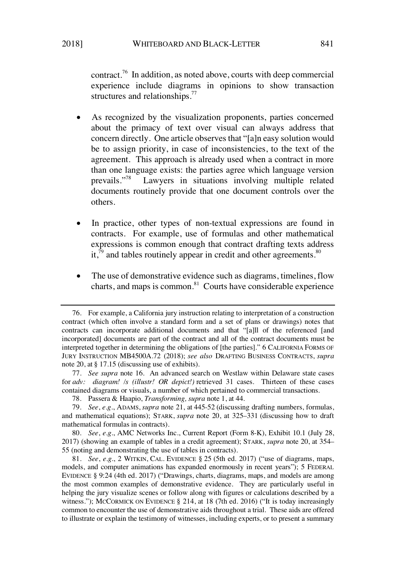contract.<sup>76</sup> In addition, as noted above, courts with deep commercial experience include diagrams in opinions to show transaction structures and relationships.<sup>77</sup>

- As recognized by the visualization proponents, parties concerned about the primacy of text over visual can always address that concern directly. One article observes that "[a]n easy solution would be to assign priority, in case of inconsistencies, to the text of the agreement. This approach is already used when a contract in more than one language exists: the parties agree which language version prevails."<sup>78</sup> Lawyers in situations involving multiple related documents routinely provide that one document controls over the others.
- In practice, other types of non-textual expressions are found in contracts. For example, use of formulas and other mathematical expressions is common enough that contract drafting texts address it, $\bar{j}^9$  and tables routinely appear in credit and other agreements.<sup>80</sup>
- The use of demonstrative evidence such as diagrams, timelines, flow charts, and maps is common. $81$  Courts have considerable experience

<sup>76.</sup> For example, a California jury instruction relating to interpretation of a construction contract (which often involve a standard form and a set of plans or drawings) notes that contracts can incorporate additional documents and that "[a]ll of the referenced [and incorporated] documents are part of the contract and all of the contract documents must be interpreted together in determining the obligations of [the parties]." 6 CALIFORNIA FORMS OF JURY INSTRUCTION MB4500A.72 (2018); *see also* DRAFTING BUSINESS CONTRACTS, *supra* note 20, at § 17.15 (discussing use of exhibits).

<sup>77.</sup> *See supra* note 16. An advanced search on Westlaw within Delaware state cases for *adv: diagram! /s (illustr! OR depict!)* retrieved 31 cases. Thirteen of these cases contained diagrams or visuals, a number of which pertained to commercial transactions.

<sup>78.</sup> Passera & Haapio, *Transforming, supra* note 1, at 44.

<sup>79.</sup> *See*, *e.g.*, ADAMS, *supra* note 21, at 445-52 (discussing drafting numbers, formulas, and mathematical equations); STARK, *supra* note 20, at 325–331 (discussing how to draft mathematical formulas in contracts).

<sup>80.</sup> *See*, *e.g.*, AMC Networks Inc., Current Report (Form 8-K), Exhibit 10.1 (July 28, 2017) (showing an example of tables in a credit agreement); STARK, *supra* note 20, at 354– 55 (noting and demonstrating the use of tables in contracts).

<sup>81.</sup> *See*, *e.g.*, 2 WITKIN, CAL. EVIDENCE § 25 (5th ed. 2017) ("use of diagrams, maps, models, and computer animations has expanded enormously in recent years"); 5 FEDERAL EVIDENCE § 9:24 (4th ed. 2017) ("Drawings, charts, diagrams, maps, and models are among the most common examples of demonstrative evidence. They are particularly useful in helping the jury visualize scenes or follow along with figures or calculations described by a witness."); MCCORMICK ON EVIDENCE § 214, at 18 (7th ed. 2016) ("It is today increasingly common to encounter the use of demonstrative aids throughout a trial. These aids are offered to illustrate or explain the testimony of witnesses, including experts, or to present a summary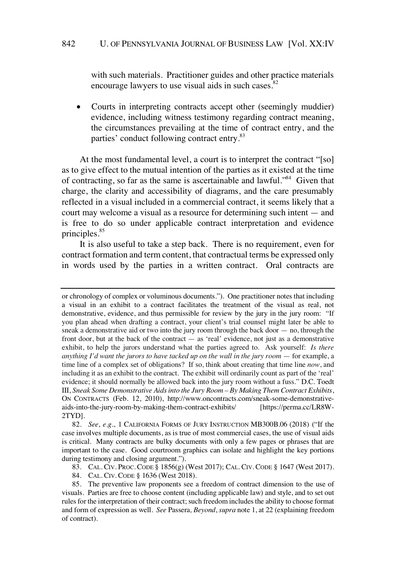with such materials. Practitioner guides and other practice materials encourage lawyers to use visual aids in such cases.<sup>82</sup>

• Courts in interpreting contracts accept other (seemingly muddier) evidence, including witness testimony regarding contract meaning, the circumstances prevailing at the time of contract entry, and the parties' conduct following contract entry.<sup>83</sup>

At the most fundamental level, a court is to interpret the contract "[so] as to give effect to the mutual intention of the parties as it existed at the time of contracting, so far as the same is ascertainable and lawful."<sup>84</sup> Given that charge, the clarity and accessibility of diagrams, and the care presumably reflected in a visual included in a commercial contract, it seems likely that a court may welcome a visual as a resource for determining such intent — and is free to do so under applicable contract interpretation and evidence principles.<sup>85</sup>

It is also useful to take a step back. There is no requirement, even for contract formation and term content, that contractual terms be expressed only in words used by the parties in a written contract. Oral contracts are

83. CAL. CIV. PROC. CODE § 1856(g) (West 2017); CAL. CIV. CODE § 1647 (West 2017).

84. CAL. CIV. CODE § 1636 (West 2018).

or chronology of complex or voluminous documents."). One practitioner notes that including a visual in an exhibit to a contract facilitates the treatment of the visual as real, not demonstrative, evidence, and thus permissible for review by the jury in the jury room: "If you plan ahead when drafting a contract, your client's trial counsel might later be able to sneak a demonstrative aid or two into the jury room through the back door — no, through the front door, but at the back of the contract  $-$  as 'real' evidence, not just as a demonstrative exhibit, to help the jurors understand what the parties agreed to. Ask yourself: *Is there anything I'd want the jurors to have tacked up on the wall in the jury room* — for example, a time line of a complex set of obligations? If so, think about creating that time line *now*, and including it as an exhibit to the contract. The exhibit will ordinarily count as part of the 'real' evidence; it should normally be allowed back into the jury room without a fuss." D.C. Toedt III, *Sneak Some Demonstrative Aidsinto the Jury Room – By Making Them Contract Exhibits*, ON CONTRACTS (Feb. 12, 2010), http://www.oncontracts.com/sneak-some-demonstrativeaids-into-the-jury-room-by-making-them-contract-exhibits/ [https://perma.cc/LR8W-2TYD].

<sup>82.</sup> *See*, *e.g.*, 1 CALIFORNIA FORMS OF JURY INSTRUCTION MB300B.06 (2018) ("If the case involves multiple documents, as is true of most commercial cases, the use of visual aids is critical. Many contracts are bulky documents with only a few pages or phrases that are important to the case. Good courtroom graphics can isolate and highlight the key portions during testimony and closing argument.").

<sup>85.</sup> The preventive law proponents see a freedom of contract dimension to the use of visuals. Parties are free to choose content (including applicable law) and style, and to set out rules for the interpretation of their contract; such freedom includes the ability to choose format and form of expression as well. *See* Passera*, Beyond*, *supra* note 1, at 22 (explaining freedom of contract).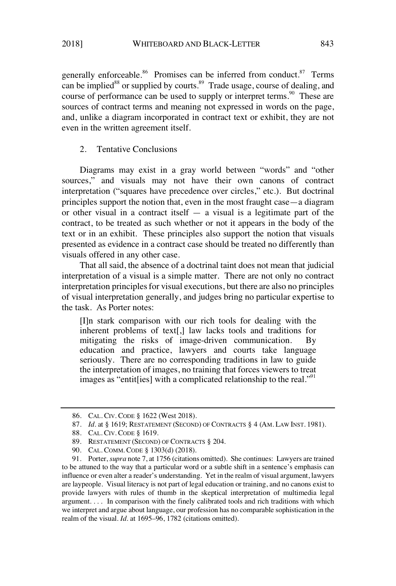generally enforceable.<sup>86</sup> Promises can be inferred from conduct.<sup>87</sup> Terms can be implied<sup>88</sup> or supplied by courts.<sup>89</sup> Trade usage, course of dealing, and course of performance can be used to supply or interpret terms.<sup>90</sup> These are sources of contract terms and meaning not expressed in words on the page, and, unlike a diagram incorporated in contract text or exhibit, they are not even in the written agreement itself.

# 2. Tentative Conclusions

Diagrams may exist in a gray world between "words" and "other sources," and visuals may not have their own canons of contract interpretation ("squares have precedence over circles," etc.). But doctrinal principles support the notion that, even in the most fraught case—a diagram or other visual in a contract itself  $-$  a visual is a legitimate part of the contract, to be treated as such whether or not it appears in the body of the text or in an exhibit. These principles also support the notion that visuals presented as evidence in a contract case should be treated no differently than visuals offered in any other case.

That all said, the absence of a doctrinal taint does not mean that judicial interpretation of a visual is a simple matter. There are not only no contract interpretation principles for visual executions, but there are also no principles of visual interpretation generally, and judges bring no particular expertise to the task. As Porter notes:

[I]n stark comparison with our rich tools for dealing with the inherent problems of text[,] law lacks tools and traditions for mitigating the risks of image-driven communication. By education and practice, lawyers and courts take language seriously. There are no corresponding traditions in law to guide the interpretation of images, no training that forces viewers to treat images as "entit [ies] with a complicated relationship to the real."<sup>91</sup>

90. CAL. COMM. CODE § 1303(d) (2018).

<sup>86.</sup> CAL. CIV. CODE § 1622 (West 2018).

<sup>87.</sup> *Id.* at § 1619; RESTATEMENT (SECOND) OF CONTRACTS § 4 (AM. LAW INST. 1981).

<sup>88.</sup> CAL. CIV. CODE § 1619.

<sup>89.</sup> RESTATEMENT (SECOND) OF CONTRACTS § 204.

<sup>91.</sup> Porter, *supra* note 7, at 1756 (citations omitted). She continues: Lawyers are trained to be attuned to the way that a particular word or a subtle shift in a sentence's emphasis can influence or even alter a reader's understanding. Yet in the realm of visual argument, lawyers are laypeople. Visual literacy is not part of legal education or training, and no canons exist to provide lawyers with rules of thumb in the skeptical interpretation of multimedia legal argument. . . . In comparison with the finely calibrated tools and rich traditions with which we interpret and argue about language, our profession has no comparable sophistication in the realm of the visual. *Id.* at 1695–96, 1782 (citations omitted).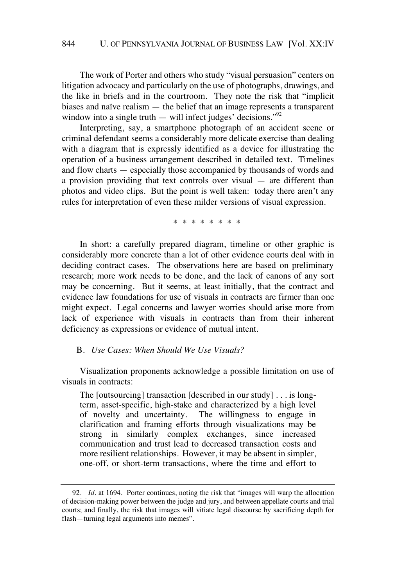The work of Porter and others who study "visual persuasion" centers on litigation advocacy and particularly on the use of photographs, drawings, and the like in briefs and in the courtroom. They note the risk that "implicit biases and naïve realism — the belief that an image represents a transparent window into a single truth — will infect judges' decisions." $^{92}$ 

Interpreting, say, a smartphone photograph of an accident scene or criminal defendant seems a considerably more delicate exercise than dealing with a diagram that is expressly identified as a device for illustrating the operation of a business arrangement described in detailed text. Timelines and flow charts — especially those accompanied by thousands of words and a provision providing that text controls over visual — are different than photos and video clips. But the point is well taken: today there aren't any rules for interpretation of even these milder versions of visual expression.

\* \* \* \* \* \* \* \*

In short: a carefully prepared diagram, timeline or other graphic is considerably more concrete than a lot of other evidence courts deal with in deciding contract cases. The observations here are based on preliminary research; more work needs to be done, and the lack of canons of any sort may be concerning. But it seems, at least initially, that the contract and evidence law foundations for use of visuals in contracts are firmer than one might expect. Legal concerns and lawyer worries should arise more from lack of experience with visuals in contracts than from their inherent deficiency as expressions or evidence of mutual intent.

#### B. *Use Cases: When Should We Use Visuals?*

Visualization proponents acknowledge a possible limitation on use of visuals in contracts:

The [outsourcing] transaction [described in our study] . . . is longterm, asset-specific, high-stake and characterized by a high level of novelty and uncertainty. The willingness to engage in clarification and framing efforts through visualizations may be strong in similarly complex exchanges, since increased communication and trust lead to decreased transaction costs and more resilient relationships. However, it may be absent in simpler, one-off, or short-term transactions, where the time and effort to

<sup>92.</sup> *Id.* at 1694. Porter continues, noting the risk that "images will warp the allocation of decision-making power between the judge and jury, and between appellate courts and trial courts; and finally, the risk that images will vitiate legal discourse by sacrificing depth for flash—turning legal arguments into memes".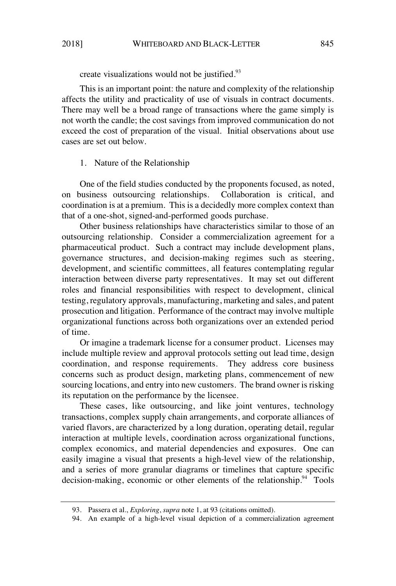create visualizations would not be justified.<sup>93</sup>

This is an important point: the nature and complexity of the relationship affects the utility and practicality of use of visuals in contract documents. There may well be a broad range of transactions where the game simply is not worth the candle; the cost savings from improved communication do not exceed the cost of preparation of the visual. Initial observations about use cases are set out below.

# 1. Nature of the Relationship

One of the field studies conducted by the proponents focused, as noted, on business outsourcing relationships. Collaboration is critical, and coordination is at a premium. This is a decidedly more complex context than that of a one-shot, signed-and-performed goods purchase.

Other business relationships have characteristics similar to those of an outsourcing relationship. Consider a commercialization agreement for a pharmaceutical product. Such a contract may include development plans, governance structures, and decision-making regimes such as steering, development, and scientific committees, all features contemplating regular interaction between diverse party representatives. It may set out different roles and financial responsibilities with respect to development, clinical testing, regulatory approvals, manufacturing, marketing and sales, and patent prosecution and litigation. Performance of the contract may involve multiple organizational functions across both organizations over an extended period of time.

Or imagine a trademark license for a consumer product. Licenses may include multiple review and approval protocols setting out lead time, design coordination, and response requirements. They address core business concerns such as product design, marketing plans, commencement of new sourcing locations, and entry into new customers. The brand owner is risking its reputation on the performance by the licensee.

These cases, like outsourcing, and like joint ventures, technology transactions, complex supply chain arrangements, and corporate alliances of varied flavors, are characterized by a long duration, operating detail, regular interaction at multiple levels, coordination across organizational functions, complex economics, and material dependencies and exposures. One can easily imagine a visual that presents a high-level view of the relationship, and a series of more granular diagrams or timelines that capture specific decision-making, economic or other elements of the relationship.  $94$  Tools

<sup>93.</sup> Passera et al., *Exploring*, *supra* note 1, at 93 (citations omitted).

<sup>94.</sup> An example of a high-level visual depiction of a commercialization agreement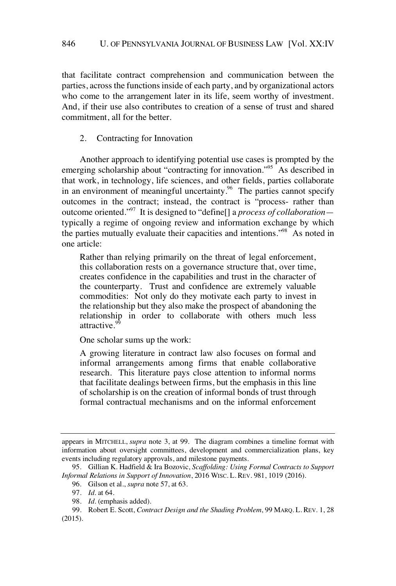that facilitate contract comprehension and communication between the parties, across the functions inside of each party, and by organizational actors who come to the arrangement later in its life, seem worthy of investment. And, if their use also contributes to creation of a sense of trust and shared commitment, all for the better.

2. Contracting for Innovation

Another approach to identifying potential use cases is prompted by the emerging scholarship about "contracting for innovation."<sup>95</sup> As described in that work, in technology, life sciences, and other fields, parties collaborate in an environment of meaningful uncertainty. $96$  The parties cannot specify outcomes in the contract; instead, the contract is "process- rather than outcome oriented."<sup>97</sup> It is designed to "define[] a *process of collaboration* typically a regime of ongoing review and information exchange by which the parties mutually evaluate their capacities and intentions."<sup>98</sup> As noted in one article:

Rather than relying primarily on the threat of legal enforcement, this collaboration rests on a governance structure that, over time, creates confidence in the capabilities and trust in the character of the counterparty. Trust and confidence are extremely valuable commodities: Not only do they motivate each party to invest in the relationship but they also make the prospect of abandoning the relationship in order to collaborate with others much less attractive.<sup>99</sup>

One scholar sums up the work:

A growing literature in contract law also focuses on formal and informal arrangements among firms that enable collaborative research. This literature pays close attention to informal norms that facilitate dealings between firms, but the emphasis in this line of scholarship is on the creation of informal bonds of trust through formal contractual mechanisms and on the informal enforcement

appears in MITCHELL, *supra* note 3, at 99. The diagram combines a timeline format with information about oversight committees, development and commercialization plans, key events including regulatory approvals, and milestone payments.

<sup>95.</sup> Gillian K. Hadfield & Ira Bozovic, *Scaffolding: Using Formal Contracts to Support Informal Relations in Support of Innovation*, 2016 WISC. L. REV. 981, 1019 (2016).

<sup>96.</sup> Gilson et al., *supra* note 57, at 63.

<sup>97.</sup> *Id.* at 64.

<sup>98.</sup> *Id.* (emphasis added).

<sup>99.</sup> Robert E. Scott, *Contract Design and the Shading Problem*, 99 MARQ. L. REV. 1, 28 (2015).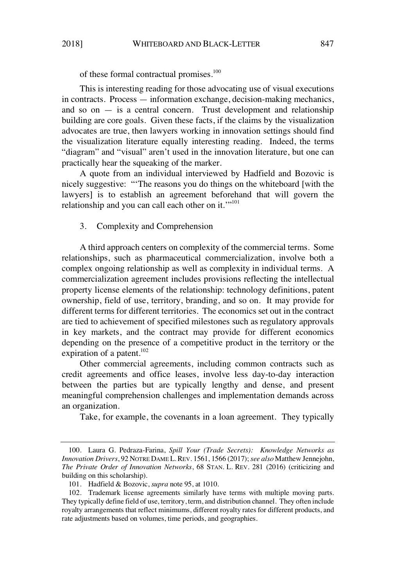of these formal contractual promises.<sup>100</sup>

This is interesting reading for those advocating use of visual executions in contracts. Process — information exchange, decision-making mechanics, and so on  $-$  is a central concern. Trust development and relationship building are core goals. Given these facts, if the claims by the visualization advocates are true, then lawyers working in innovation settings should find the visualization literature equally interesting reading. Indeed, the terms "diagram" and "visual" aren't used in the innovation literature, but one can practically hear the squeaking of the marker.

A quote from an individual interviewed by Hadfield and Bozovic is nicely suggestive: "'The reasons you do things on the whiteboard [with the lawyers] is to establish an agreement beforehand that will govern the relationship and you can call each other on it.""<sup>101</sup>

# 3. Complexity and Comprehension

A third approach centers on complexity of the commercial terms. Some relationships, such as pharmaceutical commercialization, involve both a complex ongoing relationship as well as complexity in individual terms. A commercialization agreement includes provisions reflecting the intellectual property license elements of the relationship: technology definitions, patent ownership, field of use, territory, branding, and so on. It may provide for different terms for different territories. The economics set out in the contract are tied to achievement of specified milestones such as regulatory approvals in key markets, and the contract may provide for different economics depending on the presence of a competitive product in the territory or the expiration of a patent. $102$ 

Other commercial agreements, including common contracts such as credit agreements and office leases, involve less day-to-day interaction between the parties but are typically lengthy and dense, and present meaningful comprehension challenges and implementation demands across an organization.

Take, for example, the covenants in a loan agreement. They typically

<sup>100.</sup> Laura G. Pedraza-Farina, *Spill Your (Trade Secrets): Knowledge Networks as Innovation Drivers*, 92 NOTRE DAME L. REV. 1561, 1566 (2017); *see also* Matthew Jennejohn, *The Private Order of Innovation Networks*, 68 STAN. L. REV. 281 (2016) (criticizing and building on this scholarship).

<sup>101.</sup> Hadfield & Bozovic, *supra* note 95, at 1010.

<sup>102.</sup> Trademark license agreements similarly have terms with multiple moving parts. They typically define field of use, territory, term, and distribution channel. They often include royalty arrangements that reflect minimums, different royalty ratesfor different products, and rate adjustments based on volumes, time periods, and geographies.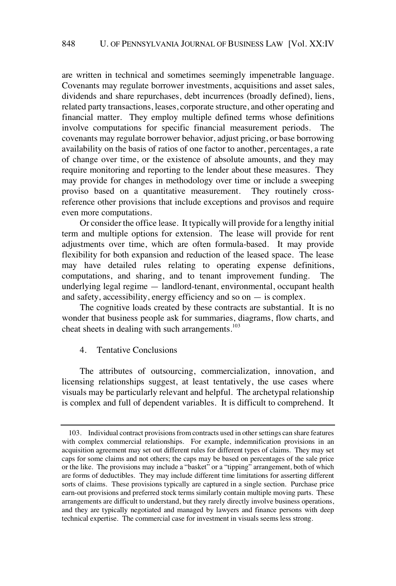are written in technical and sometimes seemingly impenetrable language. Covenants may regulate borrower investments, acquisitions and asset sales, dividends and share repurchases, debt incurrences (broadly defined), liens, related party transactions, leases, corporate structure, and other operating and financial matter. They employ multiple defined terms whose definitions involve computations for specific financial measurement periods. The covenants may regulate borrower behavior, adjust pricing, or base borrowing availability on the basis of ratios of one factor to another, percentages, a rate of change over time, or the existence of absolute amounts, and they may require monitoring and reporting to the lender about these measures. They may provide for changes in methodology over time or include a sweeping proviso based on a quantitative measurement. They routinely crossreference other provisions that include exceptions and provisos and require even more computations.

Or consider the office lease. It typically will provide for a lengthy initial term and multiple options for extension. The lease will provide for rent adjustments over time, which are often formula-based. It may provide flexibility for both expansion and reduction of the leased space. The lease may have detailed rules relating to operating expense definitions, computations, and sharing, and to tenant improvement funding. The underlying legal regime — landlord-tenant, environmental, occupant health and safety, accessibility, energy efficiency and so on  $-$  is complex.

The cognitive loads created by these contracts are substantial. It is no wonder that business people ask for summaries, diagrams, flow charts, and cheat sheets in dealing with such arrangements.<sup>103</sup>

#### 4. Tentative Conclusions

The attributes of outsourcing, commercialization, innovation, and licensing relationships suggest, at least tentatively, the use cases where visuals may be particularly relevant and helpful. The archetypal relationship is complex and full of dependent variables. It is difficult to comprehend. It

<sup>103.</sup> Individual contract provisions from contracts used in other settings can share features with complex commercial relationships. For example, indemnification provisions in an acquisition agreement may set out different rules for different types of claims. They may set caps for some claims and not others; the caps may be based on percentages of the sale price or the like. The provisions may include a "basket" or a "tipping" arrangement, both of which are forms of deductibles. They may include different time limitations for asserting different sorts of claims. These provisions typically are captured in a single section. Purchase price earn-out provisions and preferred stock terms similarly contain multiple moving parts. These arrangements are difficult to understand, but they rarely directly involve business operations, and they are typically negotiated and managed by lawyers and finance persons with deep technical expertise. The commercial case for investment in visuals seems less strong.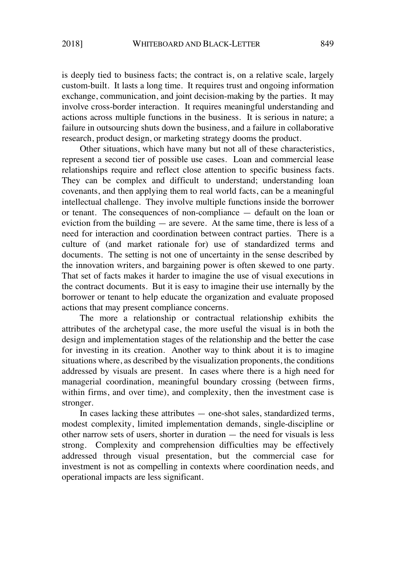is deeply tied to business facts; the contract is, on a relative scale, largely custom-built. It lasts a long time. It requires trust and ongoing information exchange, communication, and joint decision-making by the parties. It may involve cross-border interaction. It requires meaningful understanding and actions across multiple functions in the business. It is serious in nature; a failure in outsourcing shuts down the business, and a failure in collaborative research, product design, or marketing strategy dooms the product.

Other situations, which have many but not all of these characteristics, represent a second tier of possible use cases. Loan and commercial lease relationships require and reflect close attention to specific business facts. They can be complex and difficult to understand; understanding loan covenants, and then applying them to real world facts, can be a meaningful intellectual challenge. They involve multiple functions inside the borrower or tenant. The consequences of non-compliance — default on the loan or eviction from the building — are severe. At the same time, there is less of a need for interaction and coordination between contract parties. There is a culture of (and market rationale for) use of standardized terms and documents. The setting is not one of uncertainty in the sense described by the innovation writers, and bargaining power is often skewed to one party. That set of facts makes it harder to imagine the use of visual executions in the contract documents. But it is easy to imagine their use internally by the borrower or tenant to help educate the organization and evaluate proposed actions that may present compliance concerns.

The more a relationship or contractual relationship exhibits the attributes of the archetypal case, the more useful the visual is in both the design and implementation stages of the relationship and the better the case for investing in its creation. Another way to think about it is to imagine situations where, as described by the visualization proponents, the conditions addressed by visuals are present. In cases where there is a high need for managerial coordination, meaningful boundary crossing (between firms, within firms, and over time), and complexity, then the investment case is stronger.

In cases lacking these attributes — one-shot sales, standardized terms, modest complexity, limited implementation demands, single-discipline or other narrow sets of users, shorter in duration — the need for visuals is less strong. Complexity and comprehension difficulties may be effectively addressed through visual presentation, but the commercial case for investment is not as compelling in contexts where coordination needs, and operational impacts are less significant.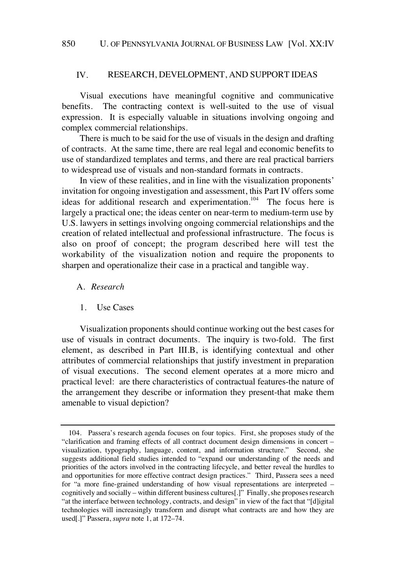#### IV. RESEARCH, DEVELOPMENT, AND SUPPORT IDEAS

Visual executions have meaningful cognitive and communicative benefits. The contracting context is well-suited to the use of visual expression. It is especially valuable in situations involving ongoing and complex commercial relationships.

There is much to be said for the use of visuals in the design and drafting of contracts. At the same time, there are real legal and economic benefits to use of standardized templates and terms, and there are real practical barriers to widespread use of visuals and non-standard formats in contracts.

In view of these realities, and in line with the visualization proponents' invitation for ongoing investigation and assessment, this Part IV offers some ideas for additional research and experimentation.<sup>104</sup> The focus here is largely a practical one; the ideas center on near-term to medium-term use by U.S. lawyers in settings involving ongoing commercial relationships and the creation of related intellectual and professional infrastructure. The focus is also on proof of concept; the program described here will test the workability of the visualization notion and require the proponents to sharpen and operationalize their case in a practical and tangible way.

#### A. *Research*

#### 1. Use Cases

Visualization proponents should continue working out the best cases for use of visuals in contract documents. The inquiry is two-fold. The first element, as described in Part III.B, is identifying contextual and other attributes of commercial relationships that justify investment in preparation of visual executions. The second element operates at a more micro and practical level: are there characteristics of contractual features-the nature of the arrangement they describe or information they present-that make them amenable to visual depiction?

<sup>104.</sup> Passera's research agenda focuses on four topics. First, she proposes study of the "clarification and framing effects of all contract document design dimensions in concert – visualization, typography, language, content, and information structure." Second, she suggests additional field studies intended to "expand our understanding of the needs and priorities of the actors involved in the contracting lifecycle, and better reveal the hurdles to and opportunities for more effective contract design practices." Third, Passera sees a need for "a more fine-grained understanding of how visual representations are interpreted – cognitively and socially – within different business cultures[.]" Finally, she proposes research "at the interface between technology, contracts, and design" in view of the fact that "[d]igital technologies will increasingly transform and disrupt what contracts are and how they are used[.]" Passera, *supra* note 1, at 172–74.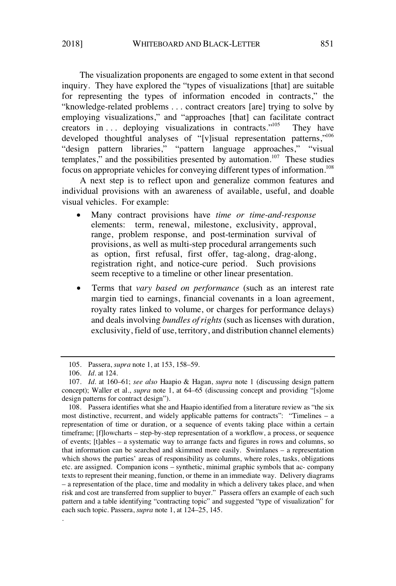The visualization proponents are engaged to some extent in that second inquiry. They have explored the "types of visualizations [that] are suitable for representing the types of information encoded in contracts," the "knowledge-related problems . . . contract creators [are] trying to solve by employing visualizations," and "approaches [that] can facilitate contract creators in ... deploying visualizations in contracts."<sup>105</sup> They have developed thoughtful analyses of "[v]isual representation patterns,"<sup>106</sup> "design pattern libraries," "pattern language approaches," "visual templates," and the possibilities presented by automation.<sup>107</sup> These studies focus on appropriate vehicles for conveying different types of information.<sup>108</sup>

A next step is to reflect upon and generalize common features and individual provisions with an awareness of available, useful, and doable visual vehicles. For example:

- Many contract provisions have *time or time-and-response* elements: term, renewal, milestone, exclusivity, approval, range, problem response, and post-termination survival of provisions, as well as multi-step procedural arrangements such as option, first refusal, first offer, tag-along, drag-along, registration right, and notice-cure period. Such provisions seem receptive to a timeline or other linear presentation.
- Terms that *vary based on performance* (such as an interest rate margin tied to earnings, financial covenants in a loan agreement, royalty rates linked to volume, or charges for performance delays) and deals involving *bundles of rights* (such as licenses with duration, exclusivity, field of use, territory, and distribution channel elements)

.

<sup>105.</sup> Passera, *supra* note 1, at 153, 158–59.

<sup>106.</sup> *Id.* at 124.

<sup>107.</sup> *Id.* at 160–61; *see also* Haapio & Hagan, *supra* note 1 (discussing design pattern concept); Waller et al., *supra* note 1, at 64–65 (discussing concept and providing "[s]ome design patterns for contract design").

<sup>108.</sup> Passera identifies what she and Haapio identified from a literature review as "the six most distinctive, recurrent, and widely applicable patterns for contracts": "Timelines – a representation of time or duration, or a sequence of events taking place within a certain timeframe; [f]lowcharts – step-by-step representation of a workflow, a process, or sequence of events; [t]ables – a systematic way to arrange facts and figures in rows and columns, so that information can be searched and skimmed more easily. Swimlanes – a representation which shows the parties' areas of responsibility as columns, where roles, tasks, obligations etc. are assigned. Companion icons – synthetic, minimal graphic symbols that ac- company texts to represent their meaning, function, or theme in an immediate way. Delivery diagrams – a representation of the place, time and modality in which a delivery takes place, and when risk and cost are transferred from supplier to buyer." Passera offers an example of each such pattern and a table identifying "contracting topic" and suggested "type of visualization" for each such topic. Passera, *supra* note 1, at 124–25, 145.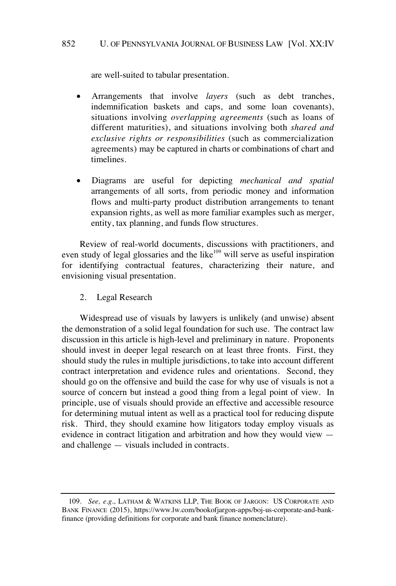are well-suited to tabular presentation.

- Arrangements that involve *layers* (such as debt tranches, indemnification baskets and caps, and some loan covenants), situations involving *overlapping agreements* (such as loans of different maturities), and situations involving both *shared and exclusive rights or responsibilities* (such as commercialization agreements) may be captured in charts or combinations of chart and timelines.
- Diagrams are useful for depicting *mechanical and spatial* arrangements of all sorts, from periodic money and information flows and multi-party product distribution arrangements to tenant expansion rights, as well as more familiar examples such as merger, entity, tax planning, and funds flow structures.

Review of real-world documents, discussions with practitioners, and even study of legal glossaries and the like<sup>109</sup> will serve as useful inspiration for identifying contractual features, characterizing their nature, and envisioning visual presentation.

2. Legal Research

Widespread use of visuals by lawyers is unlikely (and unwise) absent the demonstration of a solid legal foundation for such use. The contract law discussion in this article is high-level and preliminary in nature. Proponents should invest in deeper legal research on at least three fronts. First, they should study the rules in multiple jurisdictions, to take into account different contract interpretation and evidence rules and orientations. Second, they should go on the offensive and build the case for why use of visuals is not a source of concern but instead a good thing from a legal point of view. In principle, use of visuals should provide an effective and accessible resource for determining mutual intent as well as a practical tool for reducing dispute risk. Third, they should examine how litigators today employ visuals as evidence in contract litigation and arbitration and how they would view and challenge — visuals included in contracts.

<sup>109.</sup> *See, e.g.*, LATHAM & WATKINS LLP, THE BOOK OF JARGON: US CORPORATE AND BANK FINANCE (2015), https://www.lw.com/bookofjargon-apps/boj-us-corporate-and-bankfinance (providing definitions for corporate and bank finance nomenclature).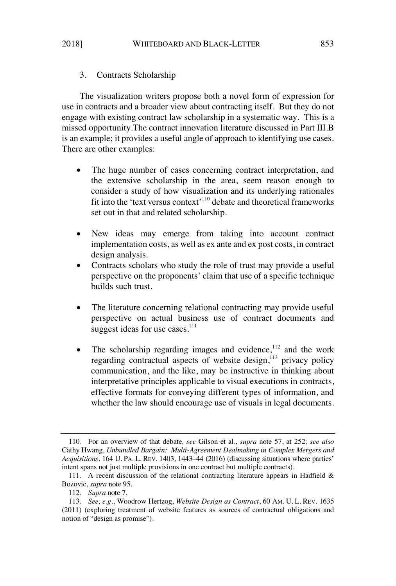# 3. Contracts Scholarship

The visualization writers propose both a novel form of expression for use in contracts and a broader view about contracting itself. But they do not engage with existing contract law scholarship in a systematic way. This is a missed opportunity.The contract innovation literature discussed in Part III.B is an example; it provides a useful angle of approach to identifying use cases. There are other examples:

- The huge number of cases concerning contract interpretation, and the extensive scholarship in the area, seem reason enough to consider a study of how visualization and its underlying rationales fit into the 'text versus context'<sup>110</sup> debate and theoretical frameworks set out in that and related scholarship.
- New ideas may emerge from taking into account contract implementation costs, as well as ex ante and ex post costs, in contract design analysis.
- Contracts scholars who study the role of trust may provide a useful perspective on the proponents' claim that use of a specific technique builds such trust.
- The literature concerning relational contracting may provide useful perspective on actual business use of contract documents and suggest ideas for use cases. $111$
- The scholarship regarding images and evidence, $112$  and the work regarding contractual aspects of website design, $^{113}$  privacy policy communication, and the like, may be instructive in thinking about interpretative principles applicable to visual executions in contracts, effective formats for conveying different types of information, and whether the law should encourage use of visuals in legal documents.

<sup>110.</sup> For an overview of that debate*, see* Gilson et al., *supra* note 57, at 252; *see also* Cathy Hwang, *Unbundled Bargain: Multi-Agreement Dealmaking in Complex Mergers and Acquisitions*, 164 U. PA. L. REV. 1403, 1443–44 (2016) (discussing situations where parties' intent spans not just multiple provisions in one contract but multiple contracts).

<sup>111.</sup> A recent discussion of the relational contracting literature appears in Hadfield  $\&$ Bozovic, *supra* note 95.

<sup>112.</sup> *Supra* note 7.

<sup>113.</sup> *See, e.g.*, Woodrow Hertzog, *Website Design as Contract*, 60 AM. U. L. REV. 1635 (2011) (exploring treatment of website features as sources of contractual obligations and notion of "design as promise").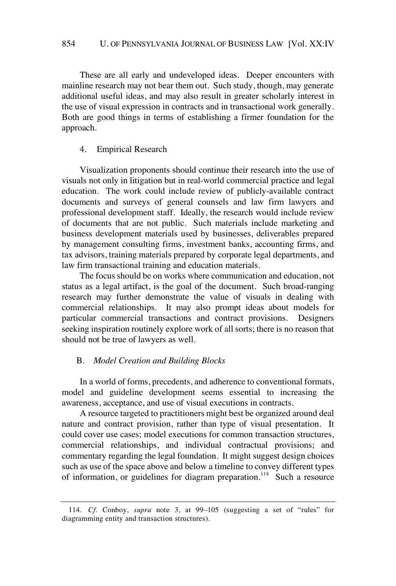These are all early and undeveloped ideas. Deeper encounters with mainline research may not bear them out. Such study, though, may generate additional useful ideas, and may also result in greater scholarly interest in the use of visual expression in contracts and in transactional work generally. Both are good things in terms of establishing a firmer foundation for the approach.

# 4. Empirical Research

Visualization proponents should continue their research into the use of visuals not only in litigation but in real-world commercial practice and legal education. The work could include review of publicly-available contract documents and surveys of general counsels and law firm lawyers and professional development staff. Ideally, the research would include review of documents that are not public. Such materials include marketing and business development materials used by businesses, deliverables prepared by management consulting firms, investment banks, accounting firms, and tax advisors, training materials prepared by corporate legal departments, and law firm transactional training and education materials.

The focus should be on works where communication and education, not status as a legal artifact, is the goal of the document. Such broad-ranging research may further demonstrate the value of visuals in dealing with commercial relationships. It may also prompt ideas about models for particular commercial transactions and contract provisions. Designers seeking inspiration routinely explore work of all sorts; there is no reason that should not be true of lawyers as well.

# B. *Model Creation and Building Blocks*

In a world of forms, precedents, and adherence to conventional formats, model and guideline development seems essential to increasing the awareness, acceptance, and use of visual executions in contracts.

A resource targeted to practitioners might best be organized around deal nature and contract provision, rather than type of visual presentation. It could cover use cases; model executions for common transaction structures, commercial relationships, and individual contractual provisions; and commentary regarding the legal foundation. It might suggest design choices such as use of the space above and below a timeline to convey different types of information, or guidelines for diagram preparation.<sup>114</sup> Such a resource

<sup>114.</sup> *Cf.* Conboy, *supra* note 3, at 99–105 (suggesting a set of "rules" for diagramming entity and transaction structures).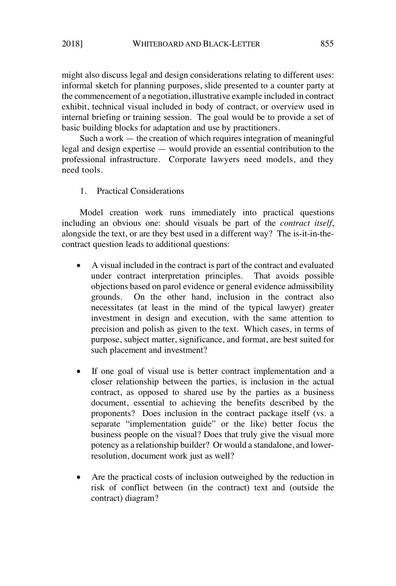might also discuss legal and design considerations relating to different uses: informal sketch for planning purposes, slide presented to a counter party at the commencement of a negotiation, illustrative example included in contract exhibit, technical visual included in body of contract, or overview used in internal briefing or training session. The goal would be to provide a set of basic building blocks for adaptation and use by practitioners.

Such a work — the creation of which requires integration of meaningful legal and design expertise — would provide an essential contribution to the professional infrastructure. Corporate lawyers need models, and they need tools.

### 1. Practical Considerations

Model creation work runs immediately into practical questions including an obvious one: should visuals be part of the *contract itself*, alongside the text, or are they best used in a different way? The is-it-in-thecontract question leads to additional questions:

- A visual included in the contract is part of the contract and evaluated under contract interpretation principles. That avoids possible objections based on parol evidence or general evidence admissibility grounds. On the other hand, inclusion in the contract also necessitates (at least in the mind of the typical lawyer) greater investment in design and execution, with the same attention to precision and polish as given to the text. Which cases, in terms of purpose, subject matter, significance, and format, are best suited for such placement and investment?
- If one goal of visual use is better contract implementation and a closer relationship between the parties, is inclusion in the actual contract, as opposed to shared use by the parties as a business document, essential to achieving the benefits described by the proponents? Does inclusion in the contract package itself (vs. a separate "implementation guide" or the like) better focus the business people on the visual? Does that truly give the visual more potency as a relationship builder? Or would a standalone, and lowerresolution, document work just as well?
- Are the practical costs of inclusion outweighed by the reduction in risk of conflict between (in the contract) text and (outside the contract) diagram?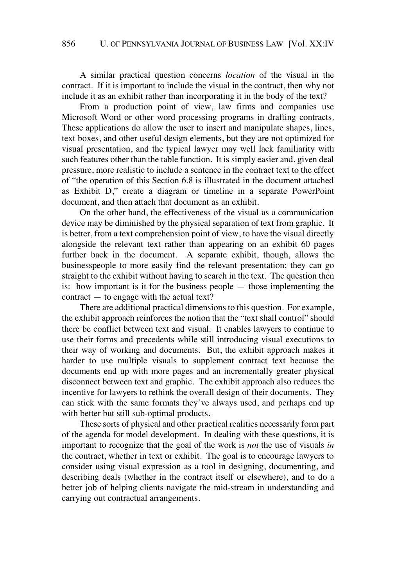A similar practical question concerns *location* of the visual in the contract. If it is important to include the visual in the contract, then why not include it as an exhibit rather than incorporating it in the body of the text?

From a production point of view, law firms and companies use Microsoft Word or other word processing programs in drafting contracts. These applications do allow the user to insert and manipulate shapes, lines, text boxes, and other useful design elements, but they are not optimized for visual presentation, and the typical lawyer may well lack familiarity with such features other than the table function. It is simply easier and, given deal pressure, more realistic to include a sentence in the contract text to the effect of "the operation of this Section 6.8 is illustrated in the document attached as Exhibit D," create a diagram or timeline in a separate PowerPoint document, and then attach that document as an exhibit.

On the other hand, the effectiveness of the visual as a communication device may be diminished by the physical separation of text from graphic. It is better, from a text comprehension point of view, to have the visual directly alongside the relevant text rather than appearing on an exhibit 60 pages further back in the document. A separate exhibit, though, allows the businesspeople to more easily find the relevant presentation; they can go straight to the exhibit without having to search in the text. The question then is: how important is it for the business people — those implementing the contract — to engage with the actual text?

There are additional practical dimensions to this question. For example, the exhibit approach reinforces the notion that the "text shall control" should there be conflict between text and visual. It enables lawyers to continue to use their forms and precedents while still introducing visual executions to their way of working and documents. But, the exhibit approach makes it harder to use multiple visuals to supplement contract text because the documents end up with more pages and an incrementally greater physical disconnect between text and graphic. The exhibit approach also reduces the incentive for lawyers to rethink the overall design of their documents. They can stick with the same formats they've always used, and perhaps end up with better but still sub-optimal products.

These sorts of physical and other practical realities necessarily form part of the agenda for model development. In dealing with these questions, it is important to recognize that the goal of the work is *not* the use of visuals *in* the contract, whether in text or exhibit. The goal is to encourage lawyers to consider using visual expression as a tool in designing, documenting, and describing deals (whether in the contract itself or elsewhere), and to do a better job of helping clients navigate the mid-stream in understanding and carrying out contractual arrangements.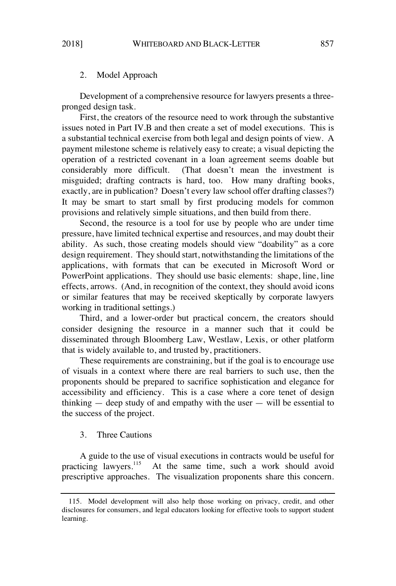# 2. Model Approach

Development of a comprehensive resource for lawyers presents a threepronged design task.

First, the creators of the resource need to work through the substantive issues noted in Part IV.B and then create a set of model executions. This is a substantial technical exercise from both legal and design points of view. A payment milestone scheme is relatively easy to create; a visual depicting the operation of a restricted covenant in a loan agreement seems doable but considerably more difficult. (That doesn't mean the investment is misguided; drafting contracts is hard, too. How many drafting books, exactly, are in publication? Doesn't every law school offer drafting classes?) It may be smart to start small by first producing models for common provisions and relatively simple situations, and then build from there.

Second, the resource is a tool for use by people who are under time pressure, have limited technical expertise and resources, and may doubt their ability. As such, those creating models should view "doability" as a core design requirement. They should start, notwithstanding the limitations of the applications, with formats that can be executed in Microsoft Word or PowerPoint applications. They should use basic elements: shape, line, line effects, arrows. (And, in recognition of the context, they should avoid icons or similar features that may be received skeptically by corporate lawyers working in traditional settings.)

Third, and a lower-order but practical concern, the creators should consider designing the resource in a manner such that it could be disseminated through Bloomberg Law, Westlaw, Lexis, or other platform that is widely available to, and trusted by, practitioners.

These requirements are constraining, but if the goal is to encourage use of visuals in a context where there are real barriers to such use, then the proponents should be prepared to sacrifice sophistication and elegance for accessibility and efficiency. This is a case where a core tenet of design thinking — deep study of and empathy with the user — will be essential to the success of the project.

### 3. Three Cautions

A guide to the use of visual executions in contracts would be useful for practicing lawyers.<sup>115</sup> At the same time, such a work should avoid prescriptive approaches. The visualization proponents share this concern.

<sup>115.</sup> Model development will also help those working on privacy, credit, and other disclosures for consumers, and legal educators looking for effective tools to support student learning.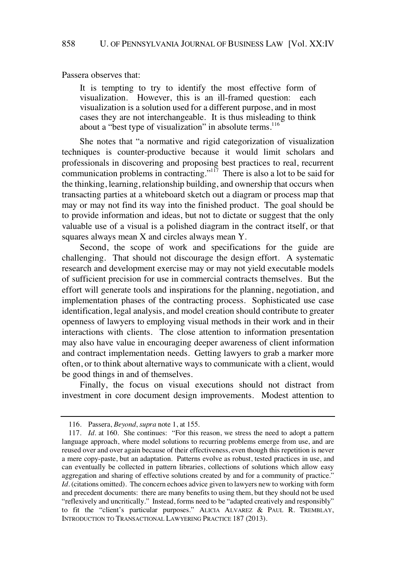Passera observes that:

It is tempting to try to identify the most effective form of visualization. However, this is an ill-framed question: each visualization is a solution used for a different purpose, and in most cases they are not interchangeable. It is thus misleading to think about a "best type of visualization" in absolute terms.<sup>116</sup>

She notes that "a normative and rigid categorization of visualization techniques is counter-productive because it would limit scholars and professionals in discovering and proposing best practices to real, recurrent communication problems in contracting." $117$  There is also a lot to be said for the thinking, learning, relationship building, and ownership that occurs when transacting parties at a whiteboard sketch out a diagram or process map that may or may not find its way into the finished product. The goal should be to provide information and ideas, but not to dictate or suggest that the only valuable use of a visual is a polished diagram in the contract itself, or that squares always mean X and circles always mean Y.

Second, the scope of work and specifications for the guide are challenging. That should not discourage the design effort. A systematic research and development exercise may or may not yield executable models of sufficient precision for use in commercial contracts themselves. But the effort will generate tools and inspirations for the planning, negotiation, and implementation phases of the contracting process. Sophisticated use case identification, legal analysis, and model creation should contribute to greater openness of lawyers to employing visual methods in their work and in their interactions with clients. The close attention to information presentation may also have value in encouraging deeper awareness of client information and contract implementation needs. Getting lawyers to grab a marker more often, or to think about alternative ways to communicate with a client, would be good things in and of themselves.

Finally, the focus on visual executions should not distract from investment in core document design improvements. Modest attention to

<sup>116.</sup> Passera, *Beyond*, *supra* note 1, at 155.

<sup>117.</sup> *Id.* at 160. She continues: "For this reason, we stress the need to adopt a pattern language approach, where model solutions to recurring problems emerge from use, and are reused over and over again because of their effectiveness, even though this repetition is never a mere copy-paste, but an adaptation. Patterns evolve as robust, tested practices in use, and can eventually be collected in pattern libraries, collections of solutions which allow easy aggregation and sharing of effective solutions created by and for a community of practice." *Id.* (citations omitted). The concern echoes advice given to lawyers new to working with form and precedent documents: there are many benefits to using them, but they should not be used "reflexively and uncritically." Instead, forms need to be "adapted creatively and responsibly" to fit the "client's particular purposes." ALICIA ALVAREZ & PAUL R. TREMBLAY, INTRODUCTION TO TRANSACTIONAL LAWYERING PRACTICE 187 (2013).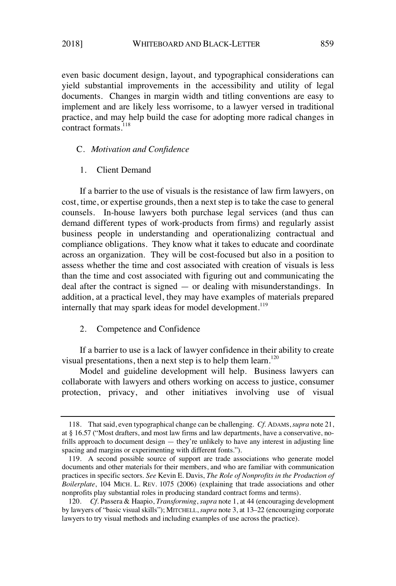even basic document design, layout, and typographical considerations can yield substantial improvements in the accessibility and utility of legal documents. Changes in margin width and titling conventions are easy to implement and are likely less worrisome, to a lawyer versed in traditional practice, and may help build the case for adopting more radical changes in contract formats<sup>118</sup>

### C. *Motivation and Confidence*

# 1. Client Demand

If a barrier to the use of visuals is the resistance of law firm lawyers, on cost, time, or expertise grounds, then a next step is to take the case to general counsels. In-house lawyers both purchase legal services (and thus can demand different types of work-products from firms) and regularly assist business people in understanding and operationalizing contractual and compliance obligations. They know what it takes to educate and coordinate across an organization. They will be cost-focused but also in a position to assess whether the time and cost associated with creation of visuals is less than the time and cost associated with figuring out and communicating the deal after the contract is signed — or dealing with misunderstandings. In addition, at a practical level, they may have examples of materials prepared internally that may spark ideas for model development.<sup>119</sup>

# 2. Competence and Confidence

If a barrier to use is a lack of lawyer confidence in their ability to create visual presentations, then a next step is to help them learn. $120$ 

Model and guideline development will help. Business lawyers can collaborate with lawyers and others working on access to justice, consumer protection, privacy, and other initiatives involving use of visual

<sup>118.</sup> That said, even typographical change can be challenging. *Cf.* ADAMS,*supra* note 21, at § 16.57 ("Most drafters, and most law firms and law departments, have a conservative, nofrills approach to document design — they're unlikely to have any interest in adjusting line spacing and margins or experimenting with different fonts.").

<sup>119.</sup> A second possible source of support are trade associations who generate model documents and other materials for their members, and who are familiar with communication practices in specific sectors. *See* Kevin E. Davis, *The Role of Nonprofits in the Production of Boilerplate*, 104 MICH. L. REV. 1075 (2006) (explaining that trade associations and other nonprofits play substantial roles in producing standard contract forms and terms).

<sup>120.</sup> *Cf.* Passera & Haapio, *Transforming*, *supra* note 1, at 44 (encouraging development by lawyers of "basic visual skills"); MITCHELL, *supra* note 3, at 13–22 (encouraging corporate lawyers to try visual methods and including examples of use across the practice).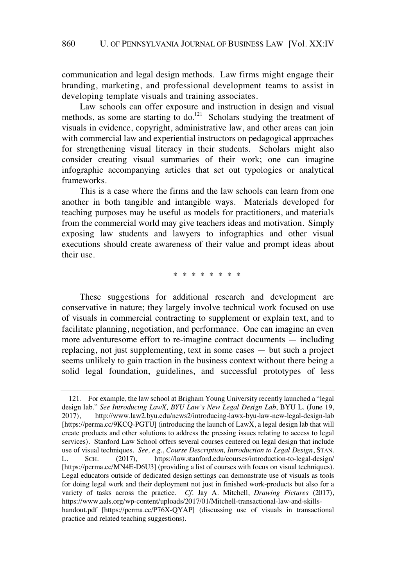communication and legal design methods. Law firms might engage their branding, marketing, and professional development teams to assist in developing template visuals and training associates.

Law schools can offer exposure and instruction in design and visual methods, as some are starting to  $\omega$ <sup>121</sup> Scholars studying the treatment of visuals in evidence, copyright, administrative law, and other areas can join with commercial law and experiential instructors on pedagogical approaches for strengthening visual literacy in their students. Scholars might also consider creating visual summaries of their work; one can imagine infographic accompanying articles that set out typologies or analytical frameworks.

This is a case where the firms and the law schools can learn from one another in both tangible and intangible ways. Materials developed for teaching purposes may be useful as models for practitioners, and materials from the commercial world may give teachers ideas and motivation. Simply exposing law students and lawyers to infographics and other visual executions should create awareness of their value and prompt ideas about their use.

\* \* \* \* \* \* \* \*

These suggestions for additional research and development are conservative in nature; they largely involve technical work focused on use of visuals in commercial contracting to supplement or explain text, and to facilitate planning, negotiation, and performance. One can imagine an even more adventuresome effort to re-imagine contract documents — including replacing, not just supplementing, text in some cases — but such a project seems unlikely to gain traction in the business context without there being a solid legal foundation, guidelines, and successful prototypes of less

<sup>121.</sup> For example, the law school at Brigham Young University recently launched a "legal design lab." *See Introducing LawX, BYU Law's New Legal Design Lab*, BYU L. (June 19, 2017), http://www.law2.byu.edu/news2/introducing-lawx-byu-law-new-legal-design-lab [https://perma.cc/9KCQ-PGTU] (introducing the launch of LawX, a legal design lab that will create products and other solutions to address the pressing issues relating to access to legal services). Stanford Law School offers several courses centered on legal design that include use of visual techniques. *See, e.g.*, *Course Description, Introduction to Legal Design*, STAN. L. SCH. (2017), https://law.stanford.edu/courses/introduction-to-legal-design/ [https://perma.cc/MN4E-D6U3] (providing a list of courses with focus on visual techniques). Legal educators outside of dedicated design settings can demonstrate use of visuals as tools for doing legal work and their deployment not just in finished work-products but also for a variety of tasks across the practice. *Cf.* Jay A. Mitchell, *Drawing Pictures* (2017), https://www.aals.org/wp-content/uploads/2017/01/Mitchell-transactional-law-and-skillshandout.pdf [https://perma.cc/P76X-QYAP] (discussing use of visuals in transactional practice and related teaching suggestions).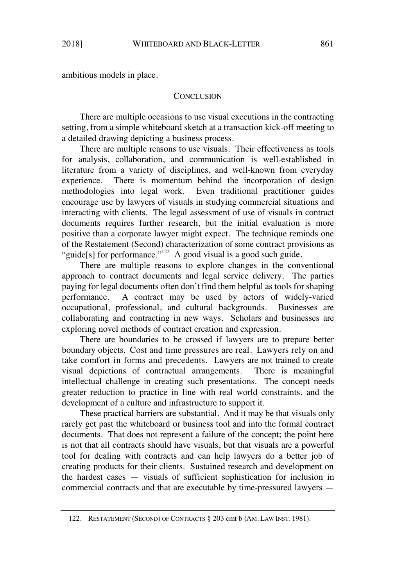ambitious models in place.

#### **CONCLUSION**

There are multiple occasions to use visual executions in the contracting setting, from a simple whiteboard sketch at a transaction kick-off meeting to a detailed drawing depicting a business process.

There are multiple reasons to use visuals. Their effectiveness as tools for analysis, collaboration, and communication is well-established in literature from a variety of disciplines, and well-known from everyday experience. There is momentum behind the incorporation of design methodologies into legal work. Even traditional practitioner guides encourage use by lawyers of visuals in studying commercial situations and interacting with clients. The legal assessment of use of visuals in contract documents requires further research, but the initial evaluation is more positive than a corporate lawyer might expect. The technique reminds one of the Restatement (Second) characterization of some contract provisions as "guide[s] for performance."<sup>122</sup> A good visual is a good such guide.

There are multiple reasons to explore changes in the conventional approach to contract documents and legal service delivery. The parties paying for legal documents often don't find them helpful as tools for shaping performance. A contract may be used by actors of widely-varied occupational, professional, and cultural backgrounds. Businesses are collaborating and contracting in new ways. Scholars and businesses are exploring novel methods of contract creation and expression.

There are boundaries to be crossed if lawyers are to prepare better boundary objects. Cost and time pressures are real. Lawyers rely on and take comfort in forms and precedents. Lawyers are not trained to create visual depictions of contractual arrangements. There is meaningful intellectual challenge in creating such presentations. The concept needs greater reduction to practice in line with real world constraints, and the development of a culture and infrastructure to support it.

These practical barriers are substantial. And it may be that visuals only rarely get past the whiteboard or business tool and into the formal contract documents. That does not represent a failure of the concept; the point here is not that all contracts should have visuals, but that visuals are a powerful tool for dealing with contracts and can help lawyers do a better job of creating products for their clients. Sustained research and development on the hardest cases — visuals of sufficient sophistication for inclusion in commercial contracts and that are executable by time-pressured lawyers —

<sup>122.</sup> RESTATEMENT (SECOND) OF CONTRACTS § 203 cmt b (AM. LAW INST. 1981).